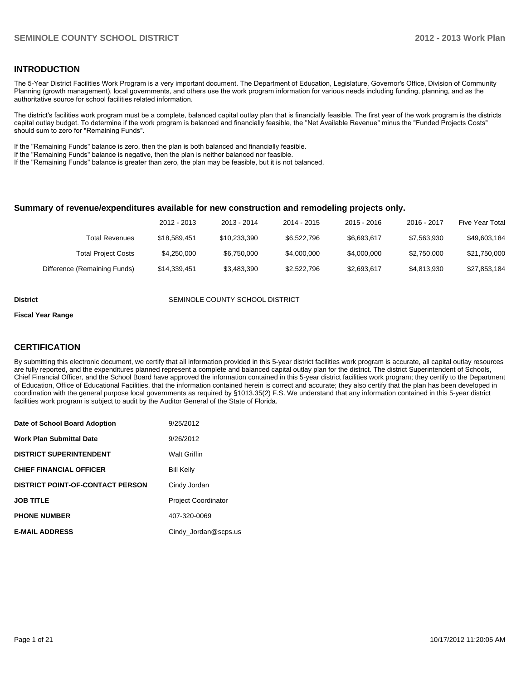#### **INTRODUCTION**

The 5-Year District Facilities Work Program is a very important document. The Department of Education, Legislature, Governor's Office, Division of Community Planning (growth management), local governments, and others use the work program information for various needs including funding, planning, and as the authoritative source for school facilities related information.

The district's facilities work program must be a complete, balanced capital outlay plan that is financially feasible. The first year of the work program is the districts capital outlay budget. To determine if the work program is balanced and financially feasible, the "Net Available Revenue" minus the "Funded Projects Costs" should sum to zero for "Remaining Funds".

If the "Remaining Funds" balance is zero, then the plan is both balanced and financially feasible.

If the "Remaining Funds" balance is negative, then the plan is neither balanced nor feasible.

If the "Remaining Funds" balance is greater than zero, the plan may be feasible, but it is not balanced.

#### **Summary of revenue/expenditures available for new construction and remodeling projects only.**

|                              | 2012 - 2013  | 2013 - 2014  | 2014 - 2015 | $2015 - 2016$ | 2016 - 2017 | <b>Five Year Total</b> |
|------------------------------|--------------|--------------|-------------|---------------|-------------|------------------------|
| Total Revenues               | \$18.589.451 | \$10.233.390 | \$6.522.796 | \$6.693.617   | \$7,563,930 | \$49,603,184           |
| <b>Total Project Costs</b>   | \$4,250,000  | \$6.750.000  | \$4.000.000 | \$4,000,000   | \$2,750,000 | \$21,750,000           |
| Difference (Remaining Funds) | \$14,339,451 | \$3,483,390  | \$2,522,796 | \$2,693,617   | \$4.813.930 | \$27,853,184           |

**District COUNTY SCHOOL DISTRICT** SEMINOLE COUNTY SCHOOL DISTRICT

#### **Fiscal Year Range**

#### **CERTIFICATION**

By submitting this electronic document, we certify that all information provided in this 5-year district facilities work program is accurate, all capital outlay resources are fully reported, and the expenditures planned represent a complete and balanced capital outlay plan for the district. The district Superintendent of Schools, Chief Financial Officer, and the School Board have approved the information contained in this 5-year district facilities work program; they certify to the Department of Education, Office of Educational Facilities, that the information contained herein is correct and accurate; they also certify that the plan has been developed in coordination with the general purpose local governments as required by §1013.35(2) F.S. We understand that any information contained in this 5-year district facilities work program is subject to audit by the Auditor General of the State of Florida.

| Date of School Board Adoption           | 9/25/2012                  |
|-----------------------------------------|----------------------------|
| <b>Work Plan Submittal Date</b>         | 9/26/2012                  |
| <b>DISTRICT SUPERINTENDENT</b>          | <b>Walt Griffin</b>        |
| <b>CHIEF FINANCIAL OFFICER</b>          | <b>Bill Kelly</b>          |
| <b>DISTRICT POINT-OF-CONTACT PERSON</b> | Cindy Jordan               |
| <b>JOB TITLE</b>                        | <b>Project Coordinator</b> |
| <b>PHONE NUMBER</b>                     | 407-320-0069               |
| <b>E-MAIL ADDRESS</b>                   | Cindy_Jordan@scps.us       |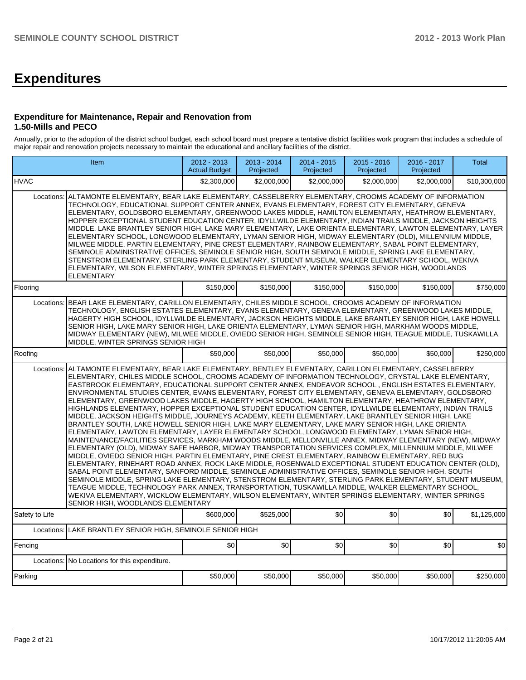# **Expenditures**

#### **Expenditure for Maintenance, Repair and Renovation from 1.50-Mills and PECO**

Annually, prior to the adoption of the district school budget, each school board must prepare a tentative district facilities work program that includes a schedule of major repair and renovation projects necessary to maintain the educational and ancillary facilities of the district.

|                | Item                                                                                                                                                                                                                                                                                                                                                                                                                                                                                                                                                                                                                                                                                                                                                                                                                                                                                                                                                                                                                                                                                                                                                                                                                                                                                                                                                                                                                                                                                                                                                                                                                                                                                                                                                                                                                                                                     | 2012 - 2013<br><b>Actual Budget</b> | 2013 - 2014<br>Projected | 2014 - 2015<br>Projected | 2015 - 2016<br>Projected | 2016 - 2017<br>Projected | Total        |
|----------------|--------------------------------------------------------------------------------------------------------------------------------------------------------------------------------------------------------------------------------------------------------------------------------------------------------------------------------------------------------------------------------------------------------------------------------------------------------------------------------------------------------------------------------------------------------------------------------------------------------------------------------------------------------------------------------------------------------------------------------------------------------------------------------------------------------------------------------------------------------------------------------------------------------------------------------------------------------------------------------------------------------------------------------------------------------------------------------------------------------------------------------------------------------------------------------------------------------------------------------------------------------------------------------------------------------------------------------------------------------------------------------------------------------------------------------------------------------------------------------------------------------------------------------------------------------------------------------------------------------------------------------------------------------------------------------------------------------------------------------------------------------------------------------------------------------------------------------------------------------------------------|-------------------------------------|--------------------------|--------------------------|--------------------------|--------------------------|--------------|
| <b>IHVAC</b>   |                                                                                                                                                                                                                                                                                                                                                                                                                                                                                                                                                                                                                                                                                                                                                                                                                                                                                                                                                                                                                                                                                                                                                                                                                                                                                                                                                                                                                                                                                                                                                                                                                                                                                                                                                                                                                                                                          | \$2.300.000                         | \$2,000,000              | \$2,000,000              | \$2,000,000              | \$2,000,000              | \$10,300,000 |
| Locations:     | ALTAMONTE ELEMENTARY, BEAR LAKE ELEMENTARY, CASSELBERRY ELEMENTARY, CROOMS ACADEMY OF INFORMATION<br>TECHNOLOGY, EDUCATIONAL SUPPORT CENTER ANNEX, EVANS ELEMENTARY, FOREST CITY ELEMENTARY, GENEVA<br>ELEMENTARY, GOLDSBORO ELEMENTARY, GREENWOOD LAKES MIDDLE, HAMILTON ELEMENTARY, HEATHROW ELEMENTARY,<br>HOPPER EXCEPTIONAL STUDENT EDUCATION CENTER, IDYLLWILDE ELEMENTARY, INDIAN TRAILS MIDDLE, JACKSON HEIGHTS<br>MIDDLE, LAKE BRANTLEY SENIOR HIGH, LAKE MARY ELEMENTARY, LAKE ORIENTA ELEMENTARY, LAWTON ELEMENTARY, LAYER<br>ELEMENTARY SCHOOL, LONGWOOD ELEMENTARY, LYMAN SENIOR HIGH, MIDWAY ELEMENTARY (OLD), MILLENNIUM MIDDLE,<br>MILWEE MIDDLE, PARTIN ELEMENTARY, PINE CREST ELEMENTARY, RAINBOW ELEMENTARY, SABAL POINT ELEMENTARY,<br>SEMINOLE ADMINISTRATIVE OFFICES, SEMINOLE SENIOR HIGH, SOUTH SEMINOLE MIDDLE, SPRING LAKE ELEMENTARY,<br>STENSTROM ELEMENTARY. STERLING PARK ELEMENTARY. STUDENT MUSEUM. WALKER ELEMENTARY SCHOOL. WEKIVA<br>ELEMENTARY, WILSON ELEMENTARY, WINTER SPRINGS ELEMENTARY, WINTER SPRINGS SENIOR HIGH, WOODLANDS<br><b>ELEMENTARY</b>                                                                                                                                                                                                                                                                                                                                                                                                                                                                                                                                                                                                                                                                                                                                                                             |                                     |                          |                          |                          |                          |              |
| Flooring       |                                                                                                                                                                                                                                                                                                                                                                                                                                                                                                                                                                                                                                                                                                                                                                                                                                                                                                                                                                                                                                                                                                                                                                                                                                                                                                                                                                                                                                                                                                                                                                                                                                                                                                                                                                                                                                                                          | \$150,000                           | \$150,000                | \$150,000                | \$150,000                | \$150,000                | \$750,000    |
|                | Locations: BEAR LAKE ELEMENTARY, CARILLON ELEMENTARY, CHILES MIDDLE SCHOOL, CROOMS ACADEMY OF INFORMATION<br>TECHNOLOGY, ENGLISH ESTATES ELEMENTARY, EVANS ELEMENTARY, GENEVA ELEMENTARY, GREENWOOD LAKES MIDDLE,<br>HAGERTY HIGH SCHOOL, IDYLLWILDE ELEMENTARY, JACKSON HEIGHTS MIDDLE, LAKE BRANTLEY SENIOR HIGH, LAKE HOWELL<br>SENIOR HIGH, LAKE MARY SENIOR HIGH, LAKE ORIENTA ELEMENTARY, LYMAN SENIOR HIGH, MARKHAM WOODS MIDDLE,<br>MIDWAY ELEMENTARY (NEW), MILWEE MIDDLE, OVIEDO SENIOR HIGH, SEMINOLE SENIOR HIGH, TEAGUE MIDDLE, TUSKAWILLA<br>MIDDLE, WINTER SPRINGS SENIOR HIGH                                                                                                                                                                                                                                                                                                                                                                                                                                                                                                                                                                                                                                                                                                                                                                                                                                                                                                                                                                                                                                                                                                                                                                                                                                                                            |                                     |                          |                          |                          |                          |              |
| Roofing        |                                                                                                                                                                                                                                                                                                                                                                                                                                                                                                                                                                                                                                                                                                                                                                                                                                                                                                                                                                                                                                                                                                                                                                                                                                                                                                                                                                                                                                                                                                                                                                                                                                                                                                                                                                                                                                                                          | \$50,000                            | \$50,000                 | \$50,000                 | \$50,000                 | \$50,000                 | \$250,000    |
| Locations:     | ALTAMONTE ELEMENTARY, BEAR LAKE ELEMENTARY, BENTLEY ELEMENTARY, CARILLON ELEMENTARY, CASSELBERRY<br>ELEMENTARY, CHILES MIDDLE SCHOOL, CROOMS ACADEMY OF INFORMATION TECHNOLOGY, CRYSTAL LAKE ELEMENTARY,<br>EASTBROOK ELEMENTARY, EDUCATIONAL SUPPORT CENTER ANNEX, ENDEAVOR SCHOOL, ENGLISH ESTATES ELEMENTARY,<br>ENVIRONMENTAL STUDIES CENTER, EVANS ELEMENTARY, FOREST CITY ELEMENTARY, GENEVA ELEMENTARY, GOLDSBORO<br>ELEMENTARY, GREENWOOD LAKES MIDDLE, HAGERTY HIGH SCHOOL, HAMILTON ELEMENTARY, HEATHROW ELEMENTARY,<br>HIGHLANDS ELEMENTARY, HOPPER EXCEPTIONAL STUDENT EDUCATION CENTER, IDYLLWILDE ELEMENTARY, INDIAN TRAILS<br>MIDDLE, JACKSON HEIGHTS MIDDLE, JOURNEYS ACADEMY, KEETH ELEMENTARY, LAKE BRANTLEY SENIOR HIGH, LAKE<br>BRANTLEY SOUTH, LAKE HOWELL SENIOR HIGH, LAKE MARY ELEMENTARY, LAKE MARY SENIOR HIGH, LAKE ORIENTA<br>ELEMENTARY, LAWTON ELEMENTARY, LAYER ELEMENTARY SCHOOL, LONGWOOD ELEMENTARY, LYMAN SENIOR HIGH,<br>MAINTENANCE/FACILITIES SERVICES, MARKHAM WOODS MIDDLE, MELLONVILLE ANNEX, MIDWAY ELEMENTARY (NEW), MIDWAY<br>ELEMENTARY (OLD). MIDWAY SAFE HARBOR, MIDWAY TRANSPORTATION SERVICES COMPLEX, MILLENNIUM MIDDLE, MILWEE<br>MIDDLE, OVIEDO SENIOR HIGH, PARTIN ELEMENTARY, PINE CREST ELEMENTARY, RAINBOW ELEMENTARY, RED BUG<br>ELEMENTARY. RINEHART ROAD ANNEX. ROCK LAKE MIDDLE. ROSENWALD EXCEPTIONAL STUDENT EDUCATION CENTER (OLD).<br>SABAL POINT ELEMENTARY, SANFORD MIDDLE, SEMINOLE ADMINISTRATIVE OFFICES, SEMINOLE SENIOR HIGH, SOUTH<br>SEMINOLE MIDDLE, SPRING LAKE ELEMENTARY, STENSTROM ELEMENTARY, STERLING PARK ELEMENTARY, STUDENT MUSEUM,<br>TEAGUE MIDDLE, TECHNOLOGY PARK ANNEX, TRANSPORTATION, TUSKAWILLA MIDDLE, WALKER ELEMENTARY SCHOOL,<br>WEKIVA ELEMENTARY, WICKLOW ELEMENTARY, WILSON ELEMENTARY, WINTER SPRINGS ELEMENTARY, WINTER SPRINGS<br>SENIOR HIGH, WOODLANDS ELEMENTARY |                                     |                          |                          |                          |                          |              |
| Safety to Life |                                                                                                                                                                                                                                                                                                                                                                                                                                                                                                                                                                                                                                                                                                                                                                                                                                                                                                                                                                                                                                                                                                                                                                                                                                                                                                                                                                                                                                                                                                                                                                                                                                                                                                                                                                                                                                                                          | \$600,000                           | \$525,000                | \$0                      | \$0                      | \$0                      | \$1,125,000  |
| Locations:     | LAKE BRANTLEY SENIOR HIGH, SEMINOLE SENIOR HIGH                                                                                                                                                                                                                                                                                                                                                                                                                                                                                                                                                                                                                                                                                                                                                                                                                                                                                                                                                                                                                                                                                                                                                                                                                                                                                                                                                                                                                                                                                                                                                                                                                                                                                                                                                                                                                          |                                     |                          |                          |                          |                          |              |
| Fencing        |                                                                                                                                                                                                                                                                                                                                                                                                                                                                                                                                                                                                                                                                                                                                                                                                                                                                                                                                                                                                                                                                                                                                                                                                                                                                                                                                                                                                                                                                                                                                                                                                                                                                                                                                                                                                                                                                          | \$0                                 | \$0                      | \$0                      | \$0                      | \$0                      | \$0          |
|                | Locations: No Locations for this expenditure.                                                                                                                                                                                                                                                                                                                                                                                                                                                                                                                                                                                                                                                                                                                                                                                                                                                                                                                                                                                                                                                                                                                                                                                                                                                                                                                                                                                                                                                                                                                                                                                                                                                                                                                                                                                                                            |                                     |                          |                          |                          |                          |              |
| Parking        |                                                                                                                                                                                                                                                                                                                                                                                                                                                                                                                                                                                                                                                                                                                                                                                                                                                                                                                                                                                                                                                                                                                                                                                                                                                                                                                                                                                                                                                                                                                                                                                                                                                                                                                                                                                                                                                                          | \$50,000                            | \$50,000                 | \$50,000                 | \$50,000                 | \$50,000                 | \$250,000    |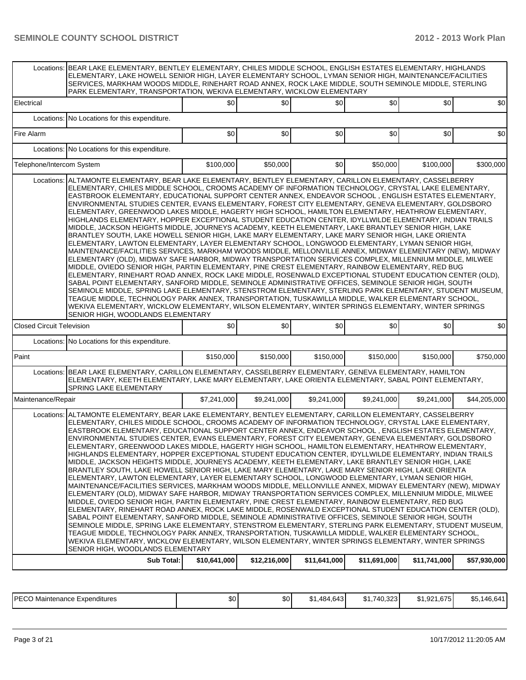|                                  | Locations: BEAR LAKE ELEMENTARY, BENTLEY ELEMENTARY, CHILES MIDDLE SCHOOL, ENGLISH ESTATES ELEMENTARY, HIGHLANDS<br>ELEMENTARY, LAKE HOWELL SENIOR HIGH, LAYER ELEMENTARY SCHOOL, LYMAN SENIOR HIGH, MAINTENANCE/FACILITIES<br>SERVICES, MARKHAM WOODS MIDDLE, RINEHART ROAD ANNEX, ROCK LAKE MIDDLE, SOUTH SEMINOLE MIDDLE, STERLING<br>PARK ELEMENTARY, TRANSPORTATION, WEKIVA ELEMENTARY, WICKLOW ELEMENTARY                                                                                                                                                                                                                                                                                                                                                                                                                                                                                                                                                                                                                                                                                                                                                                                                                                                                                                                                                                                                                                                                                                                                                                                                                                                                                                                                                                                                                                                          |                 |             |             |             |             |              |  |  |  |  |
|----------------------------------|--------------------------------------------------------------------------------------------------------------------------------------------------------------------------------------------------------------------------------------------------------------------------------------------------------------------------------------------------------------------------------------------------------------------------------------------------------------------------------------------------------------------------------------------------------------------------------------------------------------------------------------------------------------------------------------------------------------------------------------------------------------------------------------------------------------------------------------------------------------------------------------------------------------------------------------------------------------------------------------------------------------------------------------------------------------------------------------------------------------------------------------------------------------------------------------------------------------------------------------------------------------------------------------------------------------------------------------------------------------------------------------------------------------------------------------------------------------------------------------------------------------------------------------------------------------------------------------------------------------------------------------------------------------------------------------------------------------------------------------------------------------------------------------------------------------------------------------------------------------------------|-----------------|-------------|-------------|-------------|-------------|--------------|--|--|--|--|
| Electrical                       |                                                                                                                                                                                                                                                                                                                                                                                                                                                                                                                                                                                                                                                                                                                                                                                                                                                                                                                                                                                                                                                                                                                                                                                                                                                                                                                                                                                                                                                                                                                                                                                                                                                                                                                                                                                                                                                                          | SO <sub>2</sub> | \$0         | \$0         | \$0         | \$0         | \$0          |  |  |  |  |
| Locations:                       | No Locations for this expenditure.                                                                                                                                                                                                                                                                                                                                                                                                                                                                                                                                                                                                                                                                                                                                                                                                                                                                                                                                                                                                                                                                                                                                                                                                                                                                                                                                                                                                                                                                                                                                                                                                                                                                                                                                                                                                                                       |                 |             |             |             |             |              |  |  |  |  |
| Fire Alarm                       |                                                                                                                                                                                                                                                                                                                                                                                                                                                                                                                                                                                                                                                                                                                                                                                                                                                                                                                                                                                                                                                                                                                                                                                                                                                                                                                                                                                                                                                                                                                                                                                                                                                                                                                                                                                                                                                                          | \$0             | \$0         | \$0         | \$0         | \$0         | \$0          |  |  |  |  |
| Locations:                       | No Locations for this expenditure.                                                                                                                                                                                                                                                                                                                                                                                                                                                                                                                                                                                                                                                                                                                                                                                                                                                                                                                                                                                                                                                                                                                                                                                                                                                                                                                                                                                                                                                                                                                                                                                                                                                                                                                                                                                                                                       |                 |             |             |             |             |              |  |  |  |  |
| Telephone/Intercom System        |                                                                                                                                                                                                                                                                                                                                                                                                                                                                                                                                                                                                                                                                                                                                                                                                                                                                                                                                                                                                                                                                                                                                                                                                                                                                                                                                                                                                                                                                                                                                                                                                                                                                                                                                                                                                                                                                          | \$100,000       | \$50,000    | \$0         | \$50,000    | \$100,000   | \$300,000    |  |  |  |  |
| Locations:                       | ALTAMONTE ELEMENTARY, BEAR LAKE ELEMENTARY, BENTLEY ELEMENTARY, CARILLON ELEMENTARY, CASSELBERRY<br>ELEMENTARY, CHILES MIDDLE SCHOOL, CROOMS ACADEMY OF INFORMATION TECHNOLOGY, CRYSTAL LAKE ELEMENTARY,<br>EASTBROOK ELEMENTARY, EDUCATIONAL SUPPORT CENTER ANNEX, ENDEAVOR SCHOOL, ENGLISH ESTATES ELEMENTARY,<br>ENVIRONMENTAL STUDIES CENTER, EVANS ELEMENTARY, FOREST CITY ELEMENTARY, GENEVA ELEMENTARY, GOLDSBORO<br>ELEMENTARY, GREENWOOD LAKES MIDDLE, HAGERTY HIGH SCHOOL, HAMILTON ELEMENTARY, HEATHROW ELEMENTARY,<br>HIGHLANDS ELEMENTARY, HOPPER EXCEPTIONAL STUDENT EDUCATION CENTER, IDYLLWILDE ELEMENTARY, INDIAN TRAILS<br>MIDDLE, JACKSON HEIGHTS MIDDLE, JOURNEYS ACADEMY, KEETH ELEMENTARY, LAKE BRANTLEY SENIOR HIGH, LAKE<br>BRANTLEY SOUTH, LAKE HOWELL SENIOR HIGH, LAKE MARY ELEMENTARY, LAKE MARY SENIOR HIGH, LAKE ORIENTA<br>ELEMENTARY, LAWTON ELEMENTARY, LAYER ELEMENTARY SCHOOL, LONGWOOD ELEMENTARY, LYMAN SENIOR HIGH,<br>MAINTENANCE/FACILITIES SERVICES, MARKHAM WOODS MIDDLE, MELLONVILLE ANNEX, MIDWAY ELEMENTARY (NEW), MIDWAY<br>ELEMENTARY (OLD), MIDWAY SAFE HARBOR, MIDWAY TRANSPORTATION SERVICES COMPLEX, MILLENNIUM MIDDLE, MILWEE<br>MIDDLE, OVIEDO SENIOR HIGH, PARTIN ELEMENTARY, PINE CREST ELEMENTARY, RAINBOW ELEMENTARY, RED BUG<br>ELEMENTARY, RINEHART ROAD ANNEX, ROCK LAKE MIDDLE, ROSENWALD EXCEPTIONAL STUDENT EDUCATION CENTER (OLD),<br>SABAL POINT ELEMENTARY, SANFORD MIDDLE, SEMINOLE ADMINISTRATIVE OFFICES, SEMINOLE SENIOR HIGH, SOUTH<br>SEMINOLE MIDDLE, SPRING LAKE ELEMENTARY, STENSTROM ELEMENTARY, STERLING PARK ELEMENTARY, STUDENT MUSEUM,<br>TEAGUE MIDDLE, TECHNOLOGY PARK ANNEX, TRANSPORTATION, TUSKAWILLA MIDDLE, WALKER ELEMENTARY SCHOOL,<br>WEKIVA ELEMENTARY, WICKLOW ELEMENTARY, WILSON ELEMENTARY, WINTER SPRINGS ELEMENTARY, WINTER SPRINGS<br>SENIOR HIGH, WOODLANDS ELEMENTARY |                 |             |             |             |             |              |  |  |  |  |
| <b>Closed Circuit Television</b> |                                                                                                                                                                                                                                                                                                                                                                                                                                                                                                                                                                                                                                                                                                                                                                                                                                                                                                                                                                                                                                                                                                                                                                                                                                                                                                                                                                                                                                                                                                                                                                                                                                                                                                                                                                                                                                                                          | \$0             | \$0         | 30          | \$0         | \$0         | \$0          |  |  |  |  |
|                                  | Locations: No Locations for this expenditure.                                                                                                                                                                                                                                                                                                                                                                                                                                                                                                                                                                                                                                                                                                                                                                                                                                                                                                                                                                                                                                                                                                                                                                                                                                                                                                                                                                                                                                                                                                                                                                                                                                                                                                                                                                                                                            |                 |             |             |             |             |              |  |  |  |  |
| Paint                            |                                                                                                                                                                                                                                                                                                                                                                                                                                                                                                                                                                                                                                                                                                                                                                                                                                                                                                                                                                                                                                                                                                                                                                                                                                                                                                                                                                                                                                                                                                                                                                                                                                                                                                                                                                                                                                                                          | \$150,000       | \$150,000   | \$150,000   | \$150,000   | \$150,000   | \$750,000    |  |  |  |  |
|                                  | Locations:   BEAR LAKE ELEMENTARY, CARILLON ELEMENTARY, CASSELBERRY ELEMENTARY, GENEVA ELEMENTARY, HAMILTON<br>ELEMENTARY, KEETH ELEMENTARY, LAKE MARY ELEMENTARY, LAKE ORIENTA ELEMENTARY, SABAL POINT ELEMENTARY,<br>SPRING LAKE ELEMENTARY                                                                                                                                                                                                                                                                                                                                                                                                                                                                                                                                                                                                                                                                                                                                                                                                                                                                                                                                                                                                                                                                                                                                                                                                                                                                                                                                                                                                                                                                                                                                                                                                                            |                 |             |             |             |             |              |  |  |  |  |
| Maintenance/Repair               |                                                                                                                                                                                                                                                                                                                                                                                                                                                                                                                                                                                                                                                                                                                                                                                                                                                                                                                                                                                                                                                                                                                                                                                                                                                                                                                                                                                                                                                                                                                                                                                                                                                                                                                                                                                                                                                                          | \$7,241,000     | \$9.241.000 | \$9.241,000 | \$9,241,000 | \$9,241,000 | \$44,205,000 |  |  |  |  |
| Locations:                       | ALTAMONTE ELEMENTARY, BEAR LAKE ELEMENTARY, BENTLEY ELEMENTARY, CARILLON ELEMENTARY, CASSELBERRY<br>ELEMENTARY, CHILES MIDDLE SCHOOL, CROOMS ACADEMY OF INFORMATION TECHNOLOGY, CRYSTAL LAKE ELEMENTARY,<br>EASTBROOK ELEMENTARY, EDUCATIONAL SUPPORT CENTER ANNEX, ENDEAVOR SCHOOL, ENGLISH ESTATES ELEMENTARY,<br>ENVIRONMENTAL STUDIES CENTER, EVANS ELEMENTARY, FOREST CITY ELEMENTARY, GENEVA ELEMENTARY, GOLDSBORO<br>ELEMENTARY, GREENWOOD LAKES MIDDLE, HAGERTY HIGH SCHOOL, HAMILTON ELEMENTARY, HEATHROW ELEMENTARY,<br>HIGHLANDS ELEMENTARY, HOPPER EXCEPTIONAL STUDENT EDUCATION CENTER, IDYLLWILDE ELEMENTARY, INDIAN TRAILS<br>MIDDLE, JACKSON HEIGHTS MIDDLE, JOURNEYS ACADEMY, KEETH ELEMENTARY, LAKE BRANTLEY SENIOR HIGH, LAKE<br>BRANTLEY SOUTH, LAKE HOWELL SENIOR HIGH, LAKE MARY ELEMENTARY, LAKE MARY SENIOR HIGH, LAKE ORIENTA<br>ELEMENTARY, LAWTON ELEMENTARY, LAYER ELEMENTARY SCHOOL, LONGWOOD ELEMENTARY, LYMAN SENIOR HIGH,<br>MAINTENANCE/FACILITIES SERVICES, MARKHAM WOODS MIDDLE, MELLONVILLE ANNEX, MIDWAY ELEMENTARY (NEW), MIDWAY<br>ELEMENTARY (OLD), MIDWAY SAFE HARBOR, MIDWAY TRANSPORTATION SERVICES COMPLEX, MILLENNIUM MIDDLE, MILWEE<br>MIDDLE, OVIEDO SENIOR HIGH, PARTIN ELEMENTARY, PINE CREST ELEMENTARY, RAINBOW ELEMENTARY, RED BUG<br>ELEMENTARY, RINEHART ROAD ANNEX, ROCK LAKE MIDDLE, ROSENWALD EXCEPTIONAL STUDENT EDUCATION CENTER (OLD),<br>SABAL POINT ELEMENTARY, SANFORD MIDDLE, SEMINOLE ADMINISTRATIVE OFFICES, SEMINOLE SENIOR HIGH, SOUTH<br>SEMINOLE MIDDLE, SPRING LAKE ELEMENTARY, STENSTROM ELEMENTARY, STERLING PARK ELEMENTARY, STUDENT MUSEUM,<br>TEAGUE MIDDLE, TECHNOLOGY PARK ANNEX, TRANSPORTATION, TUSKAWILLA MIDDLE, WALKER ELEMENTARY SCHOOL,<br>WEKIVA ELEMENTARY, WICKLOW ELEMENTARY, WILSON ELEMENTARY, WINTER SPRINGS ELEMENTARY, WINTER SPRINGS<br>SENIOR HIGH, WOODLANDS ELEMENTARY |                 |             |             |             |             |              |  |  |  |  |
|                                  |                                                                                                                                                                                                                                                                                                                                                                                                                                                                                                                                                                                                                                                                                                                                                                                                                                                                                                                                                                                                                                                                                                                                                                                                                                                                                                                                                                                                                                                                                                                                                                                                                                                                                                                                                                                                                                                                          |                 |             |             |             |             |              |  |  |  |  |

| <b>IPFCO</b><br>Expenditures<br>Maintenance<br>-50 | \$0 | \$0 | .484,643<br>ጡ ብ<br>ມເ | .740.323<br>ົ<br>. | $\sim$<br>ا 675∎. ∟<br>Ή.<br>\$1,92 | ,146.64'<br>$\mathbf{A} =$<br>ະ∽<br>υU, |
|----------------------------------------------------|-----|-----|-----------------------|--------------------|-------------------------------------|-----------------------------------------|
|                                                    |     |     |                       |                    |                                     |                                         |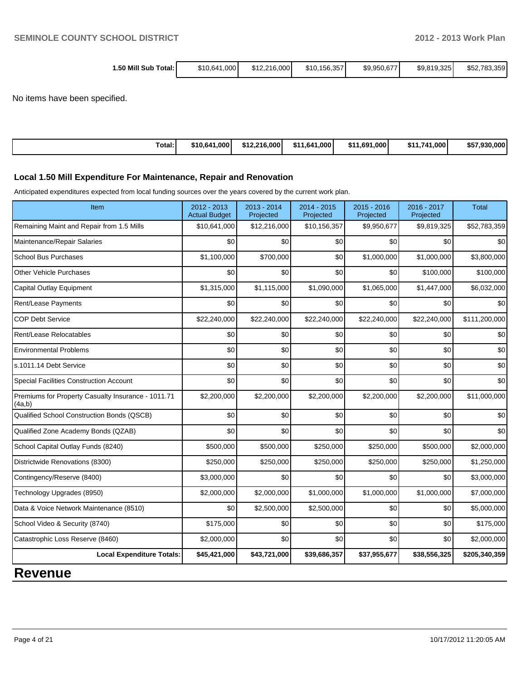| 1.50 Mill Sub Total: I | \$10,641,000 | \$12,216,000 | \$10.156.357 | \$9,950,677 | \$9,819,325 | \$52,783,359 |
|------------------------|--------------|--------------|--------------|-------------|-------------|--------------|
|                        |              |              |              |             |             |              |

No items have been specified.

| Total: | \$10,641,000 | \$12.216.000 | \$11.641.<br>1.000' | 11.691.000<br>\$11 | \$11.741<br>$.1.000^\dagger$ | \$57,930,000 |
|--------|--------------|--------------|---------------------|--------------------|------------------------------|--------------|
|--------|--------------|--------------|---------------------|--------------------|------------------------------|--------------|

#### **Local 1.50 Mill Expenditure For Maintenance, Repair and Renovation**

Anticipated expenditures expected from local funding sources over the years covered by the current work plan.

| Item                                                         | $2012 - 2013$<br><b>Actual Budget</b> | 2013 - 2014<br>Projected | 2014 - 2015<br>Projected | 2015 - 2016<br>Projected | 2016 - 2017<br>Projected | <b>Total</b>  |
|--------------------------------------------------------------|---------------------------------------|--------------------------|--------------------------|--------------------------|--------------------------|---------------|
| Remaining Maint and Repair from 1.5 Mills                    | \$10,641,000                          | \$12,216,000             | \$10,156,357             | \$9,950,677              | \$9,819,325              | \$52,783,359  |
| Maintenance/Repair Salaries                                  | \$0                                   | \$0                      | \$0                      | \$0                      | \$0                      | \$0           |
| <b>School Bus Purchases</b>                                  | \$1,100,000                           | \$700,000                | \$0                      | \$1,000,000              | \$1,000,000              | \$3,800,000   |
| <b>Other Vehicle Purchases</b>                               | \$0                                   | \$0                      | \$0                      | \$0                      | \$100,000                | \$100,000     |
| Capital Outlay Equipment                                     | \$1,315,000                           | \$1,115,000              | \$1,090,000              | \$1,065,000              | \$1,447,000              | \$6,032,000   |
| Rent/Lease Payments                                          | \$0                                   | \$0                      | \$0                      | \$0                      | \$0                      | \$0           |
| <b>COP Debt Service</b>                                      | \$22,240,000                          | \$22,240,000             | \$22,240,000             | \$22,240,000             | \$22,240,000             | \$111,200,000 |
| Rent/Lease Relocatables                                      | \$0                                   | \$0                      | \$0                      | \$0                      | \$0                      | \$0           |
| <b>Environmental Problems</b>                                | \$0                                   | \$0                      | \$0                      | \$0                      | \$0                      | \$0           |
| s.1011.14 Debt Service                                       | \$0                                   | \$0                      | \$0                      | \$0                      | \$0                      | \$0           |
| <b>Special Facilities Construction Account</b>               | \$0                                   | \$0                      | \$0                      | \$0                      | \$0                      | \$0           |
| Premiums for Property Casualty Insurance - 1011.71<br>(4a,b) | \$2,200,000                           | \$2,200,000              | \$2,200,000              | \$2,200,000              | \$2,200,000              | \$11,000,000  |
| Qualified School Construction Bonds (QSCB)                   | \$0                                   | \$0                      | \$0                      | \$0                      | \$0                      | \$0           |
| Qualified Zone Academy Bonds (QZAB)                          | \$0                                   | \$0                      | \$0                      | \$0                      | \$0                      | \$0           |
| School Capital Outlay Funds (8240)                           | \$500,000                             | \$500,000                | \$250,000                | \$250,000                | \$500,000                | \$2,000,000   |
| Districtwide Renovations (8300)                              | \$250,000                             | \$250,000                | \$250,000                | \$250,000                | \$250,000                | \$1,250,000   |
| Contingency/Reserve (8400)                                   | \$3,000,000                           | \$0                      | \$0                      | \$0                      | \$0                      | \$3,000,000   |
| Technology Upgrades (8950)                                   | \$2,000,000                           | \$2,000,000              | \$1,000,000              | \$1,000,000              | \$1,000,000              | \$7,000,000   |
| Data & Voice Network Maintenance (8510)                      | \$0                                   | \$2,500,000              | \$2,500,000              | \$0                      | \$0                      | \$5,000,000   |
| School Video & Security (8740)                               | \$175,000                             | \$0                      | \$0                      | \$0                      | \$0                      | \$175,000     |
| Catastrophic Loss Reserve (8460)                             | \$2,000,000                           | \$0                      | \$0                      | \$0                      | \$0                      | \$2,000,000   |
| <b>Local Expenditure Totals:</b>                             | \$45,421,000                          | \$43,721,000             | \$39,686,357             | \$37,955,677             | \$38,556,325             | \$205,340,359 |
| Davanua                                                      |                                       |                          |                          |                          |                          |               |

### **Revenue**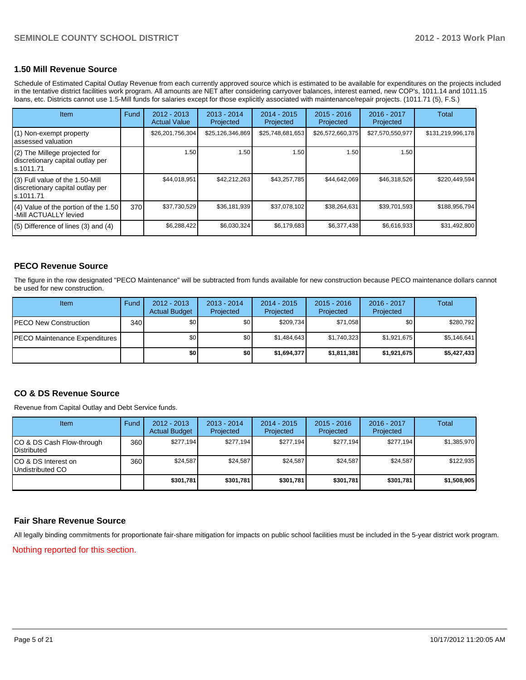#### **1.50 Mill Revenue Source**

Schedule of Estimated Capital Outlay Revenue from each currently approved source which is estimated to be available for expenditures on the projects included in the tentative district facilities work program. All amounts are NET after considering carryover balances, interest earned, new COP's, 1011.14 and 1011.15 loans, etc. Districts cannot use 1.5-Mill funds for salaries except for those explicitly associated with maintenance/repair projects. (1011.71 (5), F.S.)

| <b>Item</b>                                                                       | Fund | 2012 - 2013<br><b>Actual Value</b> | $2013 - 2014$<br>Projected | 2014 - 2015<br>Projected | $2015 - 2016$<br>Projected | $2016 - 2017$<br>Projected | Total             |
|-----------------------------------------------------------------------------------|------|------------------------------------|----------------------------|--------------------------|----------------------------|----------------------------|-------------------|
| (1) Non-exempt property<br>assessed valuation                                     |      | \$26,201,756,304                   | \$25,126,346,869           | \$25,748,681,653         | \$26,572,660,375           | \$27,570,550,977           | \$131,219,996,178 |
| (2) The Millege projected for<br>discretionary capital outlay per<br>ls.1011.71   |      | 1.50 <sub>1</sub>                  | 1.50                       | 1.50                     | 1.50                       | 1.50                       |                   |
| (3) Full value of the 1.50-Mill<br>discretionary capital outlay per<br>ls.1011.71 |      | \$44,018,951                       | \$42,212,263               | \$43,257,785             | \$44,642,069               | \$46,318,526               | \$220,449,594     |
| $(4)$ Value of the portion of the 1.50<br>-Mill ACTUALLY levied                   | 370  | \$37,730,529                       | \$36,181,939               | \$37,078,102             | \$38,264,631               | \$39,701,593               | \$188,956,794     |
| $(5)$ Difference of lines (3) and (4)                                             |      | \$6,288,422                        | \$6,030,324                | \$6,179,683              | \$6,377,438                | \$6,616,933                | \$31,492,800      |

#### **PECO Revenue Source**

The figure in the row designated "PECO Maintenance" will be subtracted from funds available for new construction because PECO maintenance dollars cannot be used for new construction.

| <b>Item</b>                           | Fund | $2012 - 2013$<br><b>Actual Budget</b> | $2013 - 2014$<br>Projected | 2014 - 2015<br>Projected | $2015 - 2016$<br>Projected | $2016 - 2017$<br>Projected | Total       |
|---------------------------------------|------|---------------------------------------|----------------------------|--------------------------|----------------------------|----------------------------|-------------|
| <b>PECO New Construction</b>          | 340  | \$0                                   | \$0                        | \$209,734                | \$71.058                   | \$0                        | \$280,792   |
| <b>IPECO Maintenance Expenditures</b> |      | \$0                                   | \$0                        | \$1.484.643              | \$1,740,323                | \$1,921,675                | \$5,146,641 |
|                                       |      | \$0 I                                 | \$0                        | \$1,694,377              | \$1,811,381                | \$1,921,675                | \$5,427,433 |

#### **CO & DS Revenue Source**

Revenue from Capital Outlay and Debt Service funds.

| Item                                               | Fund             | $2012 - 2013$<br><b>Actual Budget</b> | $2013 - 2014$<br>Projected | $2014 - 2015$<br>Projected | $2015 - 2016$<br>Projected | $2016 - 2017$<br>Projected | Total       |
|----------------------------------------------------|------------------|---------------------------------------|----------------------------|----------------------------|----------------------------|----------------------------|-------------|
| ICO & DS Cash Flow-through<br><b>I</b> Distributed | 360 <sup>I</sup> | \$277.194                             | \$277.194                  | \$277,194                  | \$277.194                  | \$277.194                  | \$1,385,970 |
| ICO & DS Interest on<br>Undistributed CO           | 360              | \$24.587                              | \$24.587                   | \$24,587                   | \$24,587                   | \$24,587                   | \$122,935   |
|                                                    |                  | \$301.781                             | \$301,781                  | \$301,781                  | \$301,781                  | \$301,781                  | \$1,508,905 |

#### **Fair Share Revenue Source**

All legally binding commitments for proportionate fair-share mitigation for impacts on public school facilities must be included in the 5-year district work program.

Nothing reported for this section.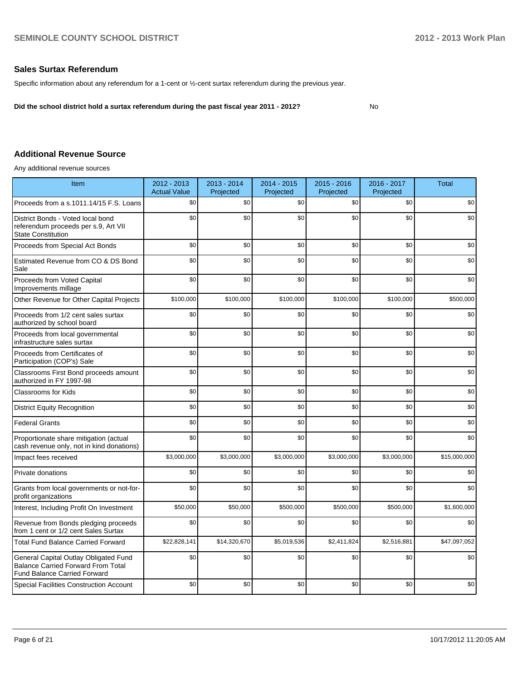#### **Sales Surtax Referendum**

Specific information about any referendum for a 1-cent or ½-cent surtax referendum during the previous year.

**Did the school district hold a surtax referendum during the past fiscal year 2011 - 2012?**

No

#### **Additional Revenue Source**

Any additional revenue sources

| Item                                                                                                                      | 2012 - 2013<br><b>Actual Value</b> | 2013 - 2014<br>Projected | 2014 - 2015<br>Projected | $2015 - 2016$<br>Projected | 2016 - 2017<br>Projected | <b>Total</b> |
|---------------------------------------------------------------------------------------------------------------------------|------------------------------------|--------------------------|--------------------------|----------------------------|--------------------------|--------------|
| Proceeds from a s.1011.14/15 F.S. Loans                                                                                   | \$0                                | \$0                      | \$0                      | \$0                        | \$0                      | \$0          |
| District Bonds - Voted local bond<br>referendum proceeds per s.9, Art VII<br><b>State Constitution</b>                    | \$0                                | \$0                      | \$0                      | \$0                        | \$0                      | \$0          |
| Proceeds from Special Act Bonds                                                                                           | \$0                                | \$0                      | \$0                      | \$0                        | \$0                      | \$0          |
| Estimated Revenue from CO & DS Bond<br>Sale                                                                               | \$0                                | \$0                      | \$0                      | \$0                        | \$0                      | \$0          |
| Proceeds from Voted Capital<br>Improvements millage                                                                       | \$0                                | \$0                      | \$0                      | \$0                        | \$0                      | \$0          |
| Other Revenue for Other Capital Projects                                                                                  | \$100,000                          | \$100,000                | \$100,000                | \$100,000                  | \$100,000                | \$500,000    |
| Proceeds from 1/2 cent sales surtax<br>authorized by school board                                                         | \$0                                | \$0                      | \$0                      | \$0                        | \$0                      | \$0          |
| Proceeds from local governmental<br>infrastructure sales surtax                                                           | \$0                                | \$0                      | \$0                      | \$0                        | \$0                      | \$0          |
| Proceeds from Certificates of<br>Participation (COP's) Sale                                                               | \$0                                | \$0                      | \$0                      | \$0                        | \$0                      | \$0          |
| Classrooms First Bond proceeds amount<br>authorized in FY 1997-98                                                         | \$0                                | \$0                      | \$0                      | \$0                        | \$0                      | \$0          |
| <b>Classrooms for Kids</b>                                                                                                | \$0                                | \$0                      | \$0                      | \$0                        | \$0                      | \$0          |
| <b>District Equity Recognition</b>                                                                                        | \$0                                | \$0                      | \$0                      | \$0                        | \$0                      | \$0          |
| <b>Federal Grants</b>                                                                                                     | \$0                                | \$0                      | \$0                      | \$0                        | \$0                      | \$0          |
| Proportionate share mitigation (actual<br>cash revenue only, not in kind donations)                                       | \$0                                | \$0                      | \$0                      | \$0                        | \$0                      | \$0          |
| Impact fees received                                                                                                      | \$3,000,000                        | \$3,000,000              | \$3,000,000              | \$3,000,000                | \$3,000,000              | \$15,000,000 |
| Private donations                                                                                                         | \$0                                | \$0                      | \$0                      | \$0                        | \$0                      | \$0          |
| Grants from local governments or not-for-<br>profit organizations                                                         | \$0                                | \$0                      | \$0                      | \$0                        | \$0                      | \$0          |
| Interest, Including Profit On Investment                                                                                  | \$50,000                           | \$50,000                 | \$500,000                | \$500,000                  | \$500,000                | \$1,600,000  |
| Revenue from Bonds pledging proceeds<br>from 1 cent or 1/2 cent Sales Surtax                                              | \$0                                | \$0                      | \$0                      | \$0                        | \$0                      | \$0          |
| <b>Total Fund Balance Carried Forward</b>                                                                                 | \$22,828,141                       | \$14,320,670             | \$5,019,536              | \$2,411,824                | \$2,516,881              | \$47,097,052 |
| General Capital Outlay Obligated Fund<br><b>Balance Carried Forward From Total</b><br><b>Fund Balance Carried Forward</b> | \$0                                | \$0                      | \$0                      | \$0                        | \$0                      | \$0          |
| <b>Special Facilities Construction Account</b>                                                                            | \$0                                | \$0                      | \$0                      | \$0                        | \$0                      | \$0          |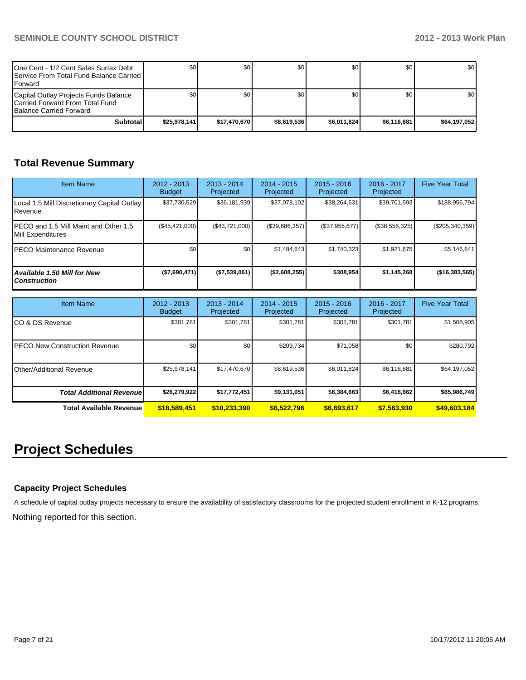| One Cent - 1/2 Cent Sales Surtax Debt<br><b>I Service From Total Fund Balance Carried I</b><br><b>IForward</b> | \$0          | \$0          | \$0         | \$0 <sub>0</sub> | \$0         | \$0 <sub>1</sub> |
|----------------------------------------------------------------------------------------------------------------|--------------|--------------|-------------|------------------|-------------|------------------|
| Capital Outlay Projects Funds Balance<br>ICarried Forward From Total Fund<br><b>Balance Carried Forward</b>    | \$0          | \$0          | \$0         | \$0 <sub>0</sub> | \$0         | \$0 <sub>1</sub> |
| Subtotal                                                                                                       | \$25.978.141 | \$17.470.670 | \$8.619.536 | \$6.011.824      | \$6.116.881 | \$64,197,052     |

## **Total Revenue Summary**

| <b>Item Name</b>                                           | $2012 - 2013$<br><b>Budget</b> | $2013 - 2014$<br>Projected | 2014 - 2015<br>Projected | $2015 - 2016$<br>Projected | $2016 - 2017$<br>Projected | <b>Five Year Total</b> |
|------------------------------------------------------------|--------------------------------|----------------------------|--------------------------|----------------------------|----------------------------|------------------------|
| Local 1.5 Mill Discretionary Capital Outlay<br>l Revenue   | \$37,730,529                   | \$36,181,939               | \$37,078,102             | \$38,264,631               | \$39,701,593               | \$188,956,794          |
| PECO and 1.5 Mill Maint and Other 1.5<br>Mill Expenditures | (\$45, 421, 000)               | (S43.721.000)              | (\$39,686,357)           | (\$37,955,677)             | (\$38,556,325)             | $(\$205,340,359)$      |
| IPECO Maintenance Revenue                                  | \$0                            | \$0                        | \$1,484,643              | \$1.740.323                | \$1,921,675                | \$5,146,641            |
| Available 1.50 Mill for New<br><b>Construction</b>         | (\$7,690,471)                  | (\$7,539,061)              | (\$2,608,255)            | \$308,954                  | \$1.145.268                | (\$16,383,565)         |

| <b>Item Name</b>                      | $2012 - 2013$<br><b>Budget</b> | $2013 - 2014$<br>Projected | $2014 - 2015$<br>Projected | $2015 - 2016$<br>Projected | 2016 - 2017<br>Projected | <b>Five Year Total</b> |
|---------------------------------------|--------------------------------|----------------------------|----------------------------|----------------------------|--------------------------|------------------------|
| ICO & DS Revenue                      | \$301,781                      | \$301,781                  | \$301.781                  | \$301,781                  | \$301,781                | \$1,508,905            |
| <b>IPECO New Construction Revenue</b> | \$0 <sub>1</sub>               | \$0                        | \$209.734                  | \$71,058                   | \$0                      | \$280,792              |
| <b>IOther/Additional Revenue</b>      | \$25,978,141                   | \$17,470,670               | \$8,619,536                | \$6,011,824                | \$6,116,881              | \$64,197,052           |
| <b>Total Additional Revenuel</b>      | \$26,279,922                   | \$17,772,451               | \$9,131,051                | \$6,384,663                | \$6,418,662              | \$65,986,749           |
| Total Available Revenue               | \$18,589,451                   | \$10.233.390               | \$6,522,796                | \$6,693,617                | \$7,563,930              | \$49,603,184           |

# **Project Schedules**

#### **Capacity Project Schedules**

A schedule of capital outlay projects necessary to ensure the availability of satisfactory classrooms for the projected student enrollment in K-12 programs.

Nothing reported for this section.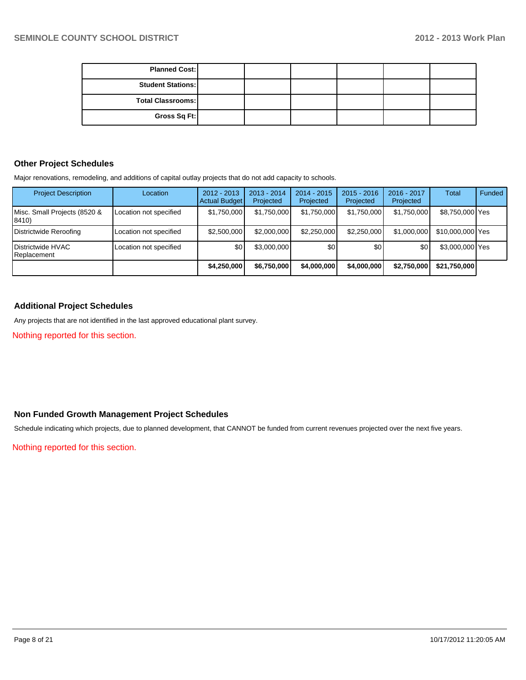| <b>Planned Cost:</b>     |  |  |  |
|--------------------------|--|--|--|
| <b>Student Stations:</b> |  |  |  |
| Total Classrooms:        |  |  |  |
| Gross Sq Ft:             |  |  |  |

#### **Other Project Schedules**

Major renovations, remodeling, and additions of capital outlay projects that do not add capacity to schools.

| <b>Project Description</b>                  | Location               | $2012 - 2013$<br><b>Actual Budget</b> | $2013 - 2014$<br>Projected | 2014 - 2015<br>Projected | $2015 - 2016$<br>Projected | 2016 - 2017<br>Projected | <b>Total</b>     | <b>Funded</b> |
|---------------------------------------------|------------------------|---------------------------------------|----------------------------|--------------------------|----------------------------|--------------------------|------------------|---------------|
| Misc. Small Projects (8520 &<br>8410)       | Location not specified | \$1,750,000                           | \$1,750,000                | \$1,750,000              | \$1,750,000                | \$1,750,000              | \$8,750,000 Yes  |               |
| Districtwide Reroofing                      | Location not specified | \$2,500,000                           | \$2,000,000                | \$2,250,000              | \$2,250,000                | \$1,000,000              | \$10,000,000 Yes |               |
| <b>I</b> Districtwide HVAC<br>I Replacement | Location not specified | \$0                                   | \$3,000,000                | \$0                      | \$0                        | <b>\$01</b>              | \$3,000,000 Yes  |               |
|                                             |                        | \$4,250,000                           | \$6,750,000                | \$4,000,000              | \$4,000,000                | \$2,750,000              | \$21,750,000     |               |

#### **Additional Project Schedules**

Any projects that are not identified in the last approved educational plant survey.

Nothing reported for this section.

#### **Non Funded Growth Management Project Schedules**

Schedule indicating which projects, due to planned development, that CANNOT be funded from current revenues projected over the next five years.

Nothing reported for this section.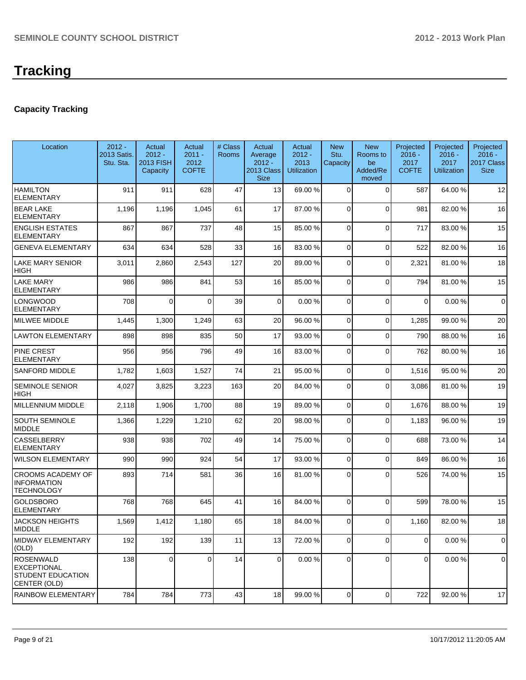# **Tracking**

### **Capacity Tracking**

| Location                                                                      | $2012 -$<br>2013 Satis.<br>Stu. Sta. | Actual<br>$2012 -$<br>2013 FISH<br>Capacity | Actual<br>$2011 -$<br>2012<br><b>COFTE</b> | # Class<br><b>Rooms</b> | Actual<br>Average<br>$2012 -$<br><b>2013 Class</b><br><b>Size</b> | Actual<br>$2012 -$<br>2013<br><b>Utilization</b> | <b>New</b><br>Stu.<br>Capacity | <b>New</b><br>Rooms to<br>be<br>Added/Re<br>moved | Projected<br>$2016 -$<br>2017<br><b>COFTE</b> | Projected<br>$2016 -$<br>2017<br><b>Utilization</b> | Projected<br>$2016 -$<br>2017 Class<br><b>Size</b> |
|-------------------------------------------------------------------------------|--------------------------------------|---------------------------------------------|--------------------------------------------|-------------------------|-------------------------------------------------------------------|--------------------------------------------------|--------------------------------|---------------------------------------------------|-----------------------------------------------|-----------------------------------------------------|----------------------------------------------------|
| <b>HAMILTON</b><br><b>ELEMENTARY</b>                                          | 911                                  | 911                                         | 628                                        | 47                      | 13                                                                | 69.00 %                                          | 0                              | $\Omega$                                          | 587                                           | 64.00%                                              | 12                                                 |
| <b>BEAR LAKE</b><br><b>ELEMENTARY</b>                                         | 1,196                                | 1,196                                       | 1,045                                      | 61                      | 17                                                                | 87.00 %                                          | 0                              | $\Omega$                                          | 981                                           | 82.00%                                              | 16                                                 |
| <b>ENGLISH ESTATES</b><br><b>ELEMENTARY</b>                                   | 867                                  | 867                                         | 737                                        | 48                      | 15                                                                | 85.00 %                                          | 0                              | $\Omega$                                          | 717                                           | 83.00 %                                             | 15                                                 |
| <b>GENEVA ELEMENTARY</b>                                                      | 634                                  | 634                                         | 528                                        | 33                      | 16                                                                | 83.00 %                                          | $\overline{0}$                 | $\Omega$                                          | 522                                           | 82.00%                                              | 16                                                 |
| <b>LAKE MARY SENIOR</b><br><b>HIGH</b>                                        | 3,011                                | 2,860                                       | 2,543                                      | 127                     | 20                                                                | 89.00 %                                          | 0                              | $\Omega$                                          | 2,321                                         | 81.00%                                              | 18                                                 |
| <b>LAKE MARY</b><br><b>ELEMENTARY</b>                                         | 986                                  | 986                                         | 841                                        | 53                      | 16                                                                | 85.00 %                                          | $\overline{0}$                 | $\Omega$                                          | 794                                           | 81.00%                                              | 15                                                 |
| <b>LONGWOOD</b><br><b>ELEMENTARY</b>                                          | 708                                  | $\Omega$                                    | $\Omega$                                   | 39                      | 0                                                                 | 0.00%                                            | 0                              | $\Omega$                                          | $\Omega$                                      | 0.00%                                               | $\mathbf 0$                                        |
| MILWEE MIDDLE                                                                 | 1,445                                | 1,300                                       | 1,249                                      | 63                      | 20                                                                | 96.00 %                                          | $\Omega$                       | $\Omega$                                          | 1,285                                         | 99.00 %                                             | 20                                                 |
| <b>LAWTON ELEMENTARY</b>                                                      | 898                                  | 898                                         | 835                                        | 50                      | 17                                                                | 93.00 %                                          | $\Omega$                       | $\Omega$                                          | 790                                           | 88.00%                                              | 16                                                 |
| <b>PINE CREST</b><br><b>ELEMENTARY</b>                                        | 956                                  | 956                                         | 796                                        | 49                      | 16                                                                | 83.00 %                                          | $\Omega$                       | $\Omega$                                          | 762                                           | 80.00%                                              | 16                                                 |
| <b>SANFORD MIDDLE</b>                                                         | 1,782                                | 1,603                                       | 1,527                                      | 74                      | 21                                                                | 95.00 %                                          | $\overline{0}$                 | $\Omega$                                          | 1,516                                         | 95.00 %                                             | 20                                                 |
| <b>SEMINOLE SENIOR</b><br><b>HIGH</b>                                         | 4,027                                | 3,825                                       | 3,223                                      | 163                     | 20                                                                | 84.00 %                                          | 0                              | $\Omega$                                          | 3,086                                         | 81.00%                                              | 19                                                 |
| MILLENNIUM MIDDLE                                                             | 2,118                                | 1,906                                       | 1,700                                      | 88                      | 19                                                                | 89.00 %                                          | 0                              | $\Omega$                                          | 1,676                                         | 88.00%                                              | 19                                                 |
| <b>SOUTH SEMINOLE</b><br>MIDDLE                                               | 1,366                                | 1,229                                       | 1,210                                      | 62                      | 20                                                                | 98.00 %                                          | $\Omega$                       | $\Omega$                                          | 1,183                                         | 96.00%                                              | 19                                                 |
| <b>CASSELBERRY</b><br><b>ELEMENTARY</b>                                       | 938                                  | 938                                         | 702                                        | 49                      | 14                                                                | 75.00 %                                          | $\Omega$                       | $\Omega$                                          | 688                                           | 73.00 %                                             | 14                                                 |
| <b>WILSON ELEMENTARY</b>                                                      | 990                                  | 990                                         | 924                                        | 54                      | 17                                                                | 93.00 %                                          | $\Omega$                       | $\Omega$                                          | 849                                           | 86.00 %                                             | 16                                                 |
| CROOMS ACADEMY OF<br><b>INFORMATION</b><br><b>TECHNOLOGY</b>                  | 893                                  | 714                                         | 581                                        | 36                      | 16                                                                | 81.00 %                                          | $\Omega$                       | $\Omega$                                          | 526                                           | 74.00%                                              | 15                                                 |
| <b>GOLDSBORO</b><br><b>ELEMENTARY</b>                                         | 768                                  | 768                                         | 645                                        | 41                      | 16                                                                | 84.00 %                                          | $\Omega$                       | $\Omega$                                          | 599                                           | 78.00 %                                             | 15                                                 |
| <b>JACKSON HEIGHTS</b><br>MIDDLE                                              | 1,569                                | 1.412                                       | 1,180                                      | 65                      | 18 I                                                              | 84.00 %                                          | $\overline{0}$                 | $\Omega$                                          | 1,160                                         | 82.00%                                              | 18                                                 |
| MIDWAY ELEMENTARY<br>(OLD)                                                    | 192                                  | 192                                         | 139                                        | 11                      | 13                                                                | 72.00 %                                          | 0                              | $\overline{0}$                                    | $\overline{0}$                                | 0.00%                                               | $\Omega$                                           |
| IROSENWALD<br><b>EXCEPTIONAL</b><br><b>STUDENT EDUCATION</b><br> CENTER (OLD) | 138                                  | $\mathbf 0$                                 | $\Omega$                                   | 14                      | $\Omega$                                                          | 0.00 %                                           | $\Omega$                       | $\Omega$                                          | $\overline{0}$                                | 0.00%                                               | $\mathbf 0$                                        |
| <b>RAINBOW ELEMENTARY</b>                                                     | 784                                  | 784                                         | 773                                        | 43                      | 18                                                                | 99.00 %                                          | 0                              | $\overline{0}$                                    | 722                                           | 92.00 %                                             | 17                                                 |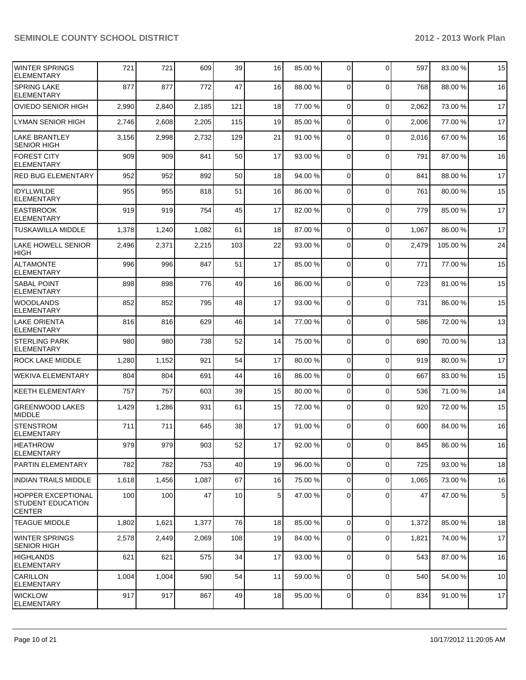| <b>IWINTER SPRINGS</b><br><b>ELEMENTARY</b>                     | 721   | 721   | 609   | 39  | 16             | 85.00 % | $\overline{0}$ | $\Omega$    | 597   | 83.00 %  | 15         |
|-----------------------------------------------------------------|-------|-------|-------|-----|----------------|---------|----------------|-------------|-------|----------|------------|
| <b>SPRING LAKE</b><br><b>ELEMENTARY</b>                         | 877   | 877   | 772   | 47  | 16             | 88.00 % | $\Omega$       | $\Omega$    | 768   | 88.00 %  | 16         |
| <b>OVIEDO SENIOR HIGH</b>                                       | 2,990 | 2,840 | 2,185 | 121 | 18             | 77.00 % | $\Omega$       | $\mathbf 0$ | 2,062 | 73.00 %  | 17         |
| <b>LYMAN SENIOR HIGH</b>                                        | 2,746 | 2,608 | 2,205 | 115 | 19             | 85.00 % | $\overline{0}$ | $\mathbf 0$ | 2,006 | 77.00 %  | 17         |
| <b>LAKE BRANTLEY</b><br><b>SENIOR HIGH</b>                      | 3,156 | 2,998 | 2,732 | 129 | 21             | 91.00 % | $\Omega$       | $\mathbf 0$ | 2,016 | 67.00 %  | 16         |
| <b>FOREST CITY</b><br><b>ELEMENTARY</b>                         | 909   | 909   | 841   | 50  | 17             | 93.00 % | $\Omega$       | $\mathbf 0$ | 791   | 87.00%   | 16         |
| <b>RED BUG ELEMENTARY</b>                                       | 952   | 952   | 892   | 50  | 18             | 94.00 % | $\Omega$       | $\Omega$    | 841   | 88.00 %  | 17         |
| <b>IDYLLWILDE</b><br><b>ELEMENTARY</b>                          | 955   | 955   | 818   | 51  | 16             | 86.00 % | $\Omega$       | $\mathbf 0$ | 761   | 80.00%   | 15         |
| <b>EASTBROOK</b><br><b>ELEMENTARY</b>                           | 919   | 919   | 754   | 45  | 17             | 82.00 % | $\Omega$       | $\mathbf 0$ | 779   | 85.00 %  | 17         |
| <b>TUSKAWILLA MIDDLE</b>                                        | 1,378 | 1,240 | 1,082 | 61  | 18             | 87.00 % | $\Omega$       | $\mathbf 0$ | 1,067 | 86.00%   | 17         |
| <b>LAKE HOWELL SENIOR</b><br><b>HIGH</b>                        | 2,496 | 2,371 | 2,215 | 103 | 22             | 93.00 % | $\Omega$       | $\Omega$    | 2,479 | 105.00 % | 24         |
| <b>ALTAMONTE</b><br><b>ELEMENTARY</b>                           | 996   | 996   | 847   | 51  | 17             | 85.00 % | $\Omega$       | $\Omega$    | 771   | 77.00 %  | 15         |
| <b>SABAL POINT</b><br><b>ELEMENTARY</b>                         | 898   | 898   | 776   | 49  | 16             | 86.00 % | $\Omega$       | $\mathbf 0$ | 723   | 81.00%   | 15         |
| <b>WOODLANDS</b><br><b>ELEMENTARY</b>                           | 852   | 852   | 795   | 48  | 17             | 93.00 % | $\Omega$       | $\mathbf 0$ | 731   | 86.00 %  | 15         |
| <b>LAKE ORIENTA</b><br><b>ELEMENTARY</b>                        | 816   | 816   | 629   | 46  | 14             | 77.00 % | $\overline{0}$ | $\mathbf 0$ | 586   | 72.00 %  | 13         |
| <b>STERLING PARK</b><br><b>ELEMENTARY</b>                       | 980   | 980   | 738   | 52  | 14             | 75.00 % | $\Omega$       | $\Omega$    | 690   | 70.00%   | 13         |
| <b>ROCK LAKE MIDDLE</b>                                         | 1,280 | 1,152 | 921   | 54  | 17             | 80.00 % | $\overline{0}$ | $\Omega$    | 919   | 80.00 %  | 17         |
| <b>WEKIVA ELEMENTARY</b>                                        | 804   | 804   | 691   | 44  | 16             | 86.00 % | $\overline{0}$ | $\Omega$    | 667   | 83.00%   | 15         |
| <b>KEETH ELEMENTARY</b>                                         | 757   | 757   | 603   | 39  | 15             | 80.00 % | $\overline{0}$ | $\Omega$    | 536   | 71.00%   | 14         |
| <b>GREENWOOD LAKES</b><br><b>MIDDLE</b>                         | 1,429 | 1,286 | 931   | 61  | 15             | 72.00 % | 0              | $\Omega$    | 920   | 72.00 %  | 15         |
| <b>STENSTROM</b><br><b>ELEMENTARY</b>                           | 711   | 711   | 645   | 38  | 17             | 91.00 % | $\Omega$       | $\Omega$    | 600   | 84.00%   | 16         |
| <b>HEATHROW</b><br>ELEMENTARY                                   | 979   | 979   | 903   | 52  | 17             | 92.00 % | $\overline{0}$ | 0           | 845   | 86.00%   | 16         |
| <b>PARTIN ELEMENTARY</b>                                        | 782   | 782   | 753   | 40  | 19             | 96.00 % | $\overline{0}$ | $\mathbf 0$ | 725   | 93.00 %  | 18         |
| <b>INDIAN TRAILS MIDDLE</b>                                     | 1,618 | 1,456 | 1,087 | 67  | 16             | 75.00 % | $\overline{0}$ | $\mathbf 0$ | 1,065 | 73.00 %  | 16         |
| <b>HOPPER EXCEPTIONAL</b><br>STUDENT EDUCATION<br><b>CENTER</b> | 100   | 100   | 47    | 10  | 5 <sup>1</sup> | 47.00 % | $\overline{0}$ | $\mathbf 0$ | 47    | 47.00%   | $\sqrt{5}$ |
| <b>TEAGUE MIDDLE</b>                                            | 1,802 | 1,621 | 1,377 | 76  | 18             | 85.00 % | $\overline{0}$ | $\mathbf 0$ | 1,372 | 85.00 %  | 18         |
| <b>WINTER SPRINGS</b><br><b>SENIOR HIGH</b>                     | 2,578 | 2,449 | 2,069 | 108 | 19             | 84.00 % | $\overline{0}$ | $\mathbf 0$ | 1,821 | 74.00 %  | 17         |
| <b>HIGHLANDS</b><br><b>ELEMENTARY</b>                           | 621   | 621   | 575   | 34  | 17             | 93.00 % | $\overline{0}$ | $\mathbf 0$ | 543   | 87.00 %  | 16         |
| <b>CARILLON</b><br><b>ELEMENTARY</b>                            | 1,004 | 1,004 | 590   | 54  | 11             | 59.00 % | 0              | $\mathbf 0$ | 540   | 54.00 %  | 10         |
| <b>WICKLOW</b><br>ELEMENTARY                                    | 917   | 917   | 867   | 49  | 18             | 95.00 % | $\overline{0}$ | $\mathbf 0$ | 834   | 91.00%   | 17         |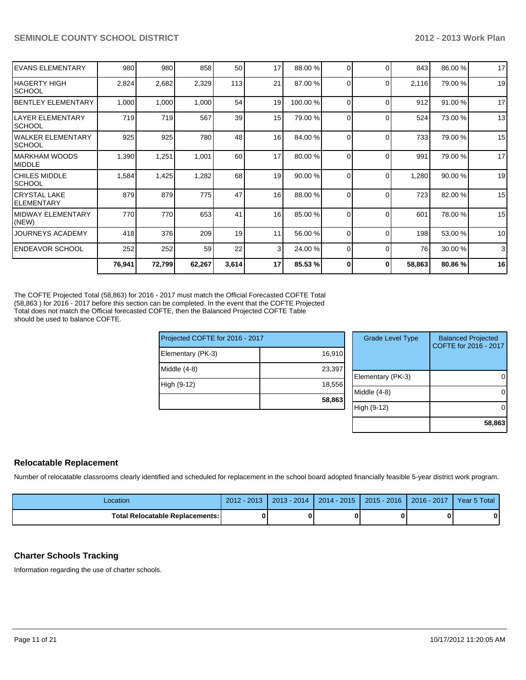|                                     | 76,941 | 72,799 | 62,267 | 3,614 | 17             | 85.53 %  | 0        | 0        | 58,863 | 80.86%  | 16 |
|-------------------------------------|--------|--------|--------|-------|----------------|----------|----------|----------|--------|---------|----|
| <b>IENDEAVOR SCHOOL</b>             | 252    | 252    | 59     | 22    | 3 <sup>1</sup> | 24.00 %  | $\Omega$ | $\Omega$ | 76     | 30.00 % | 3  |
| <b>JOURNEYS ACADEMY</b>             | 418    | 376    | 209    | 19    | 11             | 56.00 %  | $\Omega$ | $\Omega$ | 198    | 53.00 % | 10 |
| IMIDWAY ELEMENTARY<br>(NEW)         | 770    | 770    | 653    | 41    | 16             | 85.00 %  | $\Omega$ | $\Omega$ | 601    | 78.00 % | 15 |
| İCRYSTAL LAKE<br><b>IELEMENTARY</b> | 879    | 879    | 775    | 47    | 16             | 88.00 %  | $\Omega$ | $\Omega$ | 723    | 82.00 % | 15 |
| ICHILES MIDDLE<br><b>SCHOOL</b>     | 1,584  | 1,425  | 1,282  | 68    | 19             | 90.00 %  | $\Omega$ | $\Omega$ | 1,280  | 90.00 % | 19 |
| IMARKHAM WOODS<br><b>IMIDDLE</b>    | 1,390  | 1,251  | 1,001  | 60    | 17             | 80.00 %  | $\Omega$ | $\Omega$ | 991    | 79.00 % | 17 |
| lwalker elementary<br><b>SCHOOL</b> | 925    | 925    | 780    | 48    | 16             | 84.00 %  | $\Omega$ | $\Omega$ | 733    | 79.00 % | 15 |
| llayer elementary<br><b>SCHOOL</b>  | 719    | 719    | 567    | 39    | 15             | 79.00 %  | $\Omega$ | $\Omega$ | 524    | 73.00 % | 13 |
| IBENTLEY ELEMENTARY                 | 1,000  | 1,000  | 1,000  | 54    | 19             | 100.00 % | 0        | $\Omega$ | 912    | 91.00 % | 17 |
| IHAGERTY HIGH<br>ISCHOOL            | 2,824  | 2,682  | 2,329  | 113   | 21             | 87.00 %  | $\Omega$ | $\Omega$ | 2,116  | 79.00 % | 19 |
| <b>IEVANS ELEMENTARY</b>            | 980    | 980    | 858    | 50    | 17             | 88.00 %  | $\Omega$ | $\Omega$ | 843    | 86.00 % | 17 |

The COFTE Projected Total (58,863) for 2016 - 2017 must match the Official Forecasted COFTE Total (58,863 ) for 2016 - 2017 before this section can be completed. In the event that the COFTE Projected Total does not match the Official forecasted COFTE, then the Balanced Projected COFTE Table should be used to balance COFTE.

|                                 | 58,863 |
|---------------------------------|--------|
| High (9-12)                     | 18,556 |
| Middle $(4-8)$                  | 23,397 |
| Elementary (PK-3)               | 16,910 |
| Projected COFTE for 2016 - 2017 |        |

| <b>Grade Level Type</b> | <b>Balanced Projected</b><br>COFTE for 2016 - 2017 |
|-------------------------|----------------------------------------------------|
| Elementary (PK-3)       |                                                    |
| Middle $(4-8)$          |                                                    |
| High (9-12)             |                                                    |
|                         | 58,863                                             |

#### **Relocatable Replacement**

Number of relocatable classrooms clearly identified and scheduled for replacement in the school board adopted financially feasible 5-year district work program.

| Location                          | $-2012$<br>2012 | $2013 - 2014$ | $2014 - 2015$ | $2015 - 2016$ | 2016 - 2017 | Year 5 Total |
|-----------------------------------|-----------------|---------------|---------------|---------------|-------------|--------------|
| Total Relocatable Replacements: I | 0               |               |               | 0             |             | 0            |

#### **Charter Schools Tracking**

Information regarding the use of charter schools.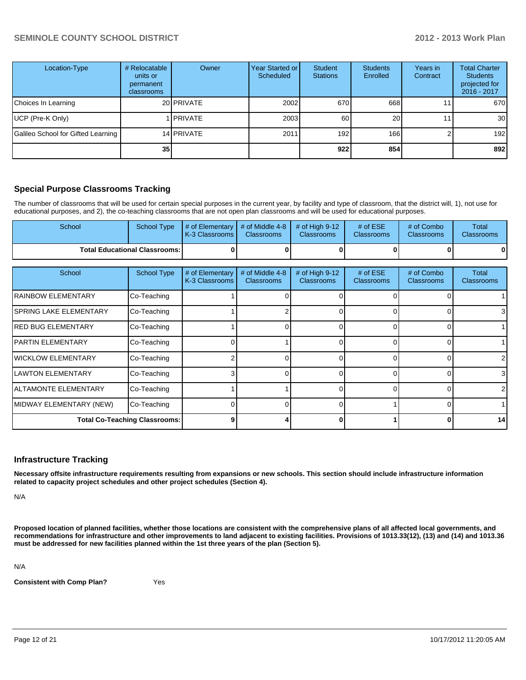| Location-Type                      | # Relocatable<br>units or<br>permanent<br>classrooms | Owner           | Year Started or<br>Scheduled | Student<br><b>Stations</b> | <b>Students</b><br>Enrolled | Years in<br>Contract | <b>Total Charter</b><br><b>Students</b><br>projected for<br>2016 - 2017 |
|------------------------------------|------------------------------------------------------|-----------------|------------------------------|----------------------------|-----------------------------|----------------------|-------------------------------------------------------------------------|
| Choices In Learning                |                                                      | 20 PRIVATE      | 2002                         | 670                        | 668                         |                      | 670                                                                     |
| UCP (Pre-K Only)                   |                                                      | <b>IPRIVATE</b> | 2003                         | 60                         | 20                          |                      | 30 <sup>1</sup>                                                         |
| Galileo School for Gifted Learning |                                                      | 14 PRIVATE      | 2011                         | 192 <sub>l</sub>           | 166                         |                      | 192                                                                     |
|                                    | 35                                                   |                 |                              | 922                        | 854                         |                      | 892                                                                     |

#### **Special Purpose Classrooms Tracking**

The number of classrooms that will be used for certain special purposes in the current year, by facility and type of classroom, that the district will, 1), not use for educational purposes, and 2), the co-teaching classrooms that are not open plan classrooms and will be used for educational purposes.

| School                                 |  | School Type $\parallel \#$ of Elementary $\parallel \#$ of Middle 4-8 $\parallel \#$ of High 9-12<br><b>K-3 Classrooms L</b> | <b>Classrooms</b> | <b>Classrooms</b> | # of $ESE$<br><b>Classrooms</b> | # of Combo<br><b>Classrooms</b> | Total<br><b>Classrooms</b> |
|----------------------------------------|--|------------------------------------------------------------------------------------------------------------------------------|-------------------|-------------------|---------------------------------|---------------------------------|----------------------------|
| <b>Total Educational Classrooms: I</b> |  |                                                                                                                              |                   |                   |                                 |                                 | 01                         |

| School                         | <b>School Type</b>                   | # of Elementary<br>K-3 Classrooms | # of Middle 4-8<br><b>Classrooms</b> | # of High 9-12<br><b>Classrooms</b> | # of $ESE$<br><b>Classrooms</b> | # of Combo<br><b>Classrooms</b> | Total<br><b>Classrooms</b> |
|--------------------------------|--------------------------------------|-----------------------------------|--------------------------------------|-------------------------------------|---------------------------------|---------------------------------|----------------------------|
| <b>IRAINBOW ELEMENTARY</b>     | Co-Teaching                          |                                   |                                      |                                     |                                 |                                 |                            |
| <b>ISPRING LAKE ELEMENTARY</b> | Co-Teaching                          |                                   |                                      |                                     |                                 |                                 | 31                         |
| <b>IRED BUG ELEMENTARY</b>     | Co-Teaching                          |                                   |                                      |                                     |                                 |                                 |                            |
| <b>IPARTIN ELEMENTARY</b>      | Co-Teaching                          |                                   |                                      |                                     |                                 |                                 |                            |
| <b>I</b> WICKLOW ELEMENTARY    | Co-Teaching                          |                                   |                                      |                                     |                                 |                                 | 2                          |
| <b>I</b> LAWTON ELEMENTARY     | Co-Teaching                          |                                   |                                      |                                     |                                 |                                 | 3 <sup>l</sup>             |
| <b>IALTAMONTE ELEMENTARY</b>   | Co-Teaching                          |                                   |                                      |                                     | $\Omega$                        |                                 | $\overline{2}$             |
| MIDWAY ELEMENTARY (NEW)        | Co-Teaching                          |                                   |                                      |                                     |                                 |                                 |                            |
|                                | <b>Total Co-Teaching Classrooms:</b> | o                                 |                                      |                                     |                                 |                                 | 14                         |

#### **Infrastructure Tracking**

**Necessary offsite infrastructure requirements resulting from expansions or new schools. This section should include infrastructure information related to capacity project schedules and other project schedules (Section 4).**

N/A

**Proposed location of planned facilities, whether those locations are consistent with the comprehensive plans of all affected local governments, and recommendations for infrastructure and other improvements to land adjacent to existing facilities. Provisions of 1013.33(12), (13) and (14) and 1013.36 must be addressed for new facilities planned within the 1st three years of the plan (Section 5).**

N/A

**Consistent with Comp Plan?** Yes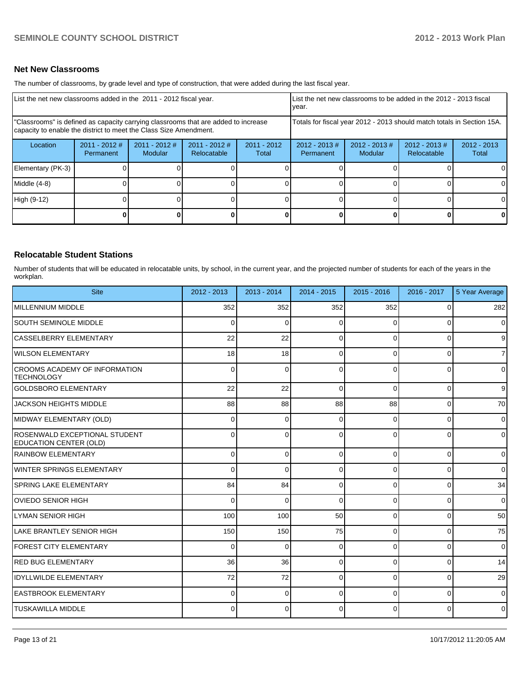#### **Net New Classrooms**

The number of classrooms, by grade level and type of construction, that were added during the last fiscal year.

|                                                                                                                                                         | List the net new classrooms added in the 2011 - 2012 fiscal year. |                            |                                |                                                                        | List the net new classrooms to be added in the 2012 - 2013 fiscal<br>Ivear. |                            |                                 |                        |
|---------------------------------------------------------------------------------------------------------------------------------------------------------|-------------------------------------------------------------------|----------------------------|--------------------------------|------------------------------------------------------------------------|-----------------------------------------------------------------------------|----------------------------|---------------------------------|------------------------|
| "Classrooms" is defined as capacity carrying classrooms that are added to increase<br>capacity to enable the district to meet the Class Size Amendment. |                                                                   |                            |                                | Totals for fiscal year 2012 - 2013 should match totals in Section 15A. |                                                                             |                            |                                 |                        |
| Location                                                                                                                                                | $2011 - 2012$ #<br>Permanent                                      | $2011 - 2012$ #<br>Modular | $2011 - 2012$ #<br>Relocatable | $2011 - 2012$<br>Total                                                 | $2012 - 2013$ #<br>Permanent                                                | $2012 - 2013$ #<br>Modular | $2012 - 2013 \#$<br>Relocatable | $2012 - 2013$<br>Total |
| Elementary (PK-3)                                                                                                                                       |                                                                   |                            |                                |                                                                        |                                                                             |                            |                                 | 0                      |
| Middle (4-8)                                                                                                                                            |                                                                   |                            |                                |                                                                        |                                                                             |                            |                                 | $\Omega$               |
| High (9-12)                                                                                                                                             |                                                                   |                            |                                |                                                                        |                                                                             |                            |                                 | $\Omega$               |
|                                                                                                                                                         |                                                                   |                            |                                |                                                                        |                                                                             |                            | 0                               | $\mathbf{0}$           |

#### **Relocatable Student Stations**

Number of students that will be educated in relocatable units, by school, in the current year, and the projected number of students for each of the years in the workplan.

| <b>Site</b>                                                    | 2012 - 2013    | 2013 - 2014 | 2014 - 2015 | $2015 - 2016$ | $2016 - 2017$ | 5 Year Average |
|----------------------------------------------------------------|----------------|-------------|-------------|---------------|---------------|----------------|
| <b>MILLENNIUM MIDDLE</b>                                       | 352            | 352         | 352         | 352           | 0             | 282            |
| <b>SOUTH SEMINOLE MIDDLE</b>                                   | $\overline{0}$ | $\Omega$    | 0           | O             | 0             | 0              |
| <b>CASSELBERRY ELEMENTARY</b>                                  | 22             | 22          | $\Omega$    | $\Omega$      | $\Omega$      | 9              |
| <b>WILSON ELEMENTARY</b>                                       | 18             | 18          | 0           | ∩             | $\Omega$      | $\overline{7}$ |
| CROOMS ACADEMY OF INFORMATION<br><b>TECHNOLOGY</b>             | $\Omega$       | $\Omega$    | $\Omega$    | $\Omega$      | $\Omega$      | 0              |
| <b>GOLDSBORO ELEMENTARY</b>                                    | 22             | 22          | $\Omega$    | $\Omega$      | $\Omega$      | 9              |
| JACKSON HEIGHTS MIDDLE                                         | 88             | 88          | 88          | 88            | 0             | 70             |
| MIDWAY ELEMENTARY (OLD)                                        | $\Omega$       | 0           | 0           | $\Omega$      | 0             | 0              |
| ROSENWALD EXCEPTIONAL STUDENT<br><b>EDUCATION CENTER (OLD)</b> | $\Omega$       | 0           | 0           | $\Omega$      | $\Omega$      | $\overline{0}$ |
| <b>RAINBOW ELEMENTARY</b>                                      | $\overline{0}$ | $\Omega$    | $\Omega$    | $\Omega$      | $\Omega$      | $\overline{0}$ |
| <b>WINTER SPRINGS ELEMENTARY</b>                               | 0              | $\Omega$    | 0           | $\Omega$      | $\Omega$      | $\overline{0}$ |
| <b>SPRING LAKE ELEMENTARY</b>                                  | 84             | 84          | $\Omega$    | $\Omega$      | 0             | 34             |
| <b>OVIEDO SENIOR HIGH</b>                                      | 0              | $\Omega$    | $\Omega$    | $\Omega$      | 0             | 0              |
| LYMAN SENIOR HIGH                                              | 100            | 100         | 50          | $\Omega$      | $\Omega$      | 50             |
| <b>LAKE BRANTLEY SENIOR HIGH</b>                               | 150            | 150         | 75          | $\Omega$      | $\Omega$      | 75             |
| <b>FOREST CITY ELEMENTARY</b>                                  | $\overline{0}$ | $\Omega$    | $\Omega$    | $\Omega$      | 0             | $\mathbf 0$    |
| <b>RED BUG ELEMENTARY</b>                                      | 36             | 36          | $\Omega$    | $\Omega$      | $\Omega$      | 14             |
| <b>IDYLLWILDE ELEMENTARY</b>                                   | 72             | 72          | $\Omega$    | $\Omega$      | $\Omega$      | 29             |
| <b>EASTBROOK ELEMENTARY</b>                                    | 0              | $\Omega$    | 0           | O             | $\Omega$      | 0              |
| <b>TUSKAWILLA MIDDLE</b>                                       | U              | U           | 0           | $\Omega$      | $\Omega$      | 0              |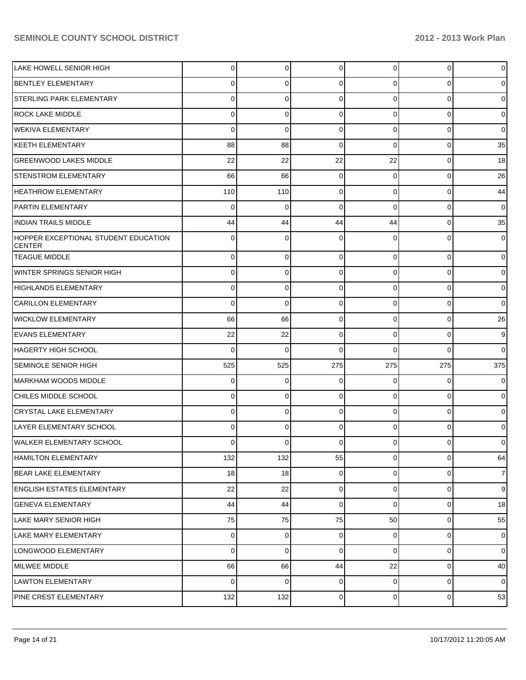| LAKE HOWELL SENIOR HIGH                               | $\overline{0}$ | $\overline{0}$ | $\Omega$       | $\overline{0}$ | $\overline{0}$ | $\overline{0}$ |
|-------------------------------------------------------|----------------|----------------|----------------|----------------|----------------|----------------|
| <b>BENTLEY ELEMENTARY</b>                             | 0              | $\Omega$       | 0              | $\Omega$       | 0              | $\overline{0}$ |
| <b>STERLING PARK ELEMENTARY</b>                       | 0              | $\Omega$       | 0              | $\Omega$       | $\Omega$       | $\overline{0}$ |
| <b>ROCK LAKE MIDDLE</b>                               | 0              | $\mathbf 0$    | 0              | $\Omega$       | $\Omega$       | $\overline{0}$ |
| <b>WEKIVA ELEMENTARY</b>                              | $\Omega$       | $\Omega$       | 0              | $\Omega$       | $\Omega$       | $\overline{0}$ |
| KEETH ELEMENTARY                                      | 88             | 88             | 0              | $\Omega$       | $\Omega$       | 35             |
| <b>GREENWOOD LAKES MIDDLE</b>                         | 22             | 22             | 22             | 22             | $\Omega$       | 18             |
| <b>STENSTROM ELEMENTARY</b>                           | 66             | 66             | $\Omega$       | $\Omega$       | $\Omega$       | 26             |
| <b>HEATHROW ELEMENTARY</b>                            | 110            | 110            | 0              | $\Omega$       | $\Omega$       | 44             |
| <b>PARTIN ELEMENTARY</b>                              | $\Omega$       | $\Omega$       | 0              | $\Omega$       | $\Omega$       | $\overline{0}$ |
| <b>INDIAN TRAILS MIDDLE</b>                           | 44             | 44             | 44             | 44             | $\Omega$       | 35             |
| HOPPER EXCEPTIONAL STUDENT EDUCATION<br><b>CENTER</b> | $\Omega$       | $\Omega$       | 0              | $\Omega$       | 0              | $\overline{0}$ |
| <b>TEAGUE MIDDLE</b>                                  | $\overline{0}$ | $\mathbf 0$    | $\mathbf 0$    | $\overline{0}$ | 0              | $\overline{0}$ |
| WINTER SPRINGS SENIOR HIGH                            | $\Omega$       | $\mathbf 0$    | 0              | $\overline{0}$ | 0              | $\overline{0}$ |
| HIGHLANDS ELEMENTARY                                  | $\mathbf 0$    | $\mathbf 0$    | $\mathbf 0$    | $\overline{0}$ | 0              | $\overline{0}$ |
| CARILLON ELEMENTARY                                   | $\Omega$       | $\Omega$       | 0              | $\overline{0}$ | 0              | $\overline{0}$ |
| <b>WICKLOW ELEMENTARY</b>                             | 66             | 66             | $\mathbf 0$    | $\overline{0}$ | $\overline{0}$ | 26             |
| <b>EVANS ELEMENTARY</b>                               | 22             | 22             | $\mathbf 0$    | $\overline{0}$ | $\Omega$       | 9              |
| HAGERTY HIGH SCHOOL                                   | $\Omega$       | $\Omega$       | $\Omega$       | $\Omega$       | $\Omega$       | $\overline{0}$ |
| <b>SEMINOLE SENIOR HIGH</b>                           | 525            | 525            | 275            | 275            | 275            | 375            |
| MARKHAM WOODS MIDDLE                                  | $\mathbf 0$    | 0              | $\mathbf 0$    | $\overline{0}$ | 0              | $\overline{0}$ |
| ICHILES MIDDLE SCHOOL                                 | 0              | 0              | 0              | $\overline{0}$ | 0              | $\overline{0}$ |
| CRYSTAL LAKE ELEMENTARY                               | $\Omega$       | $\mathbf 0$    | 0              | $\overline{0}$ | 0              | $\overline{0}$ |
| LAYER ELEMENTARY SCHOOL                               | 0              | $\Omega$       | 0              | $\overline{0}$ | 0              | $\overline{0}$ |
| WALKER ELEMENTARY SCHOOL                              | 0              | 0              | 0              | 0              | $\overline{0}$ | $\overline{0}$ |
| <b>HAMILTON ELEMENTARY</b>                            | 132            | 132            | 55             | $\overline{0}$ | $\overline{0}$ | 64             |
| BEAR LAKE ELEMENTARY                                  | 18             | 18             | $\overline{0}$ | $\overline{0}$ | $\overline{0}$ | $\overline{7}$ |
| ENGLISH ESTATES ELEMENTARY                            | 22             | 22             | $\mathbf 0$    | $\overline{0}$ | 0              | $\overline{9}$ |
| <b>GENEVA ELEMENTARY</b>                              | 44             | 44             | 0              | $\overline{0}$ | $\overline{0}$ | 18             |
| LAKE MARY SENIOR HIGH                                 | 75             | 75             | 75             | 50             | $\overline{0}$ | 55             |
| LAKE MARY ELEMENTARY                                  | $\overline{0}$ | 0              | $\mathbf 0$    | $\overline{0}$ | $\overline{0}$ | $\overline{0}$ |
| LONGWOOD ELEMENTARY                                   | $\overline{0}$ | $\mathbf 0$    | $\mathbf 0$    | $\overline{0}$ | 0              | $\overline{0}$ |
| MILWEE MIDDLE                                         | 66             | 66             | 44             | 22             | $\overline{0}$ | 40             |
| LAWTON ELEMENTARY                                     | $\Omega$       | $\mathbf 0$    | 0              | $\overline{0}$ | $\overline{0}$ | $\overline{0}$ |
| PINE CREST ELEMENTARY                                 | 132            | 132            | $\mathbf 0$    | $\overline{0}$ | 0              | 53             |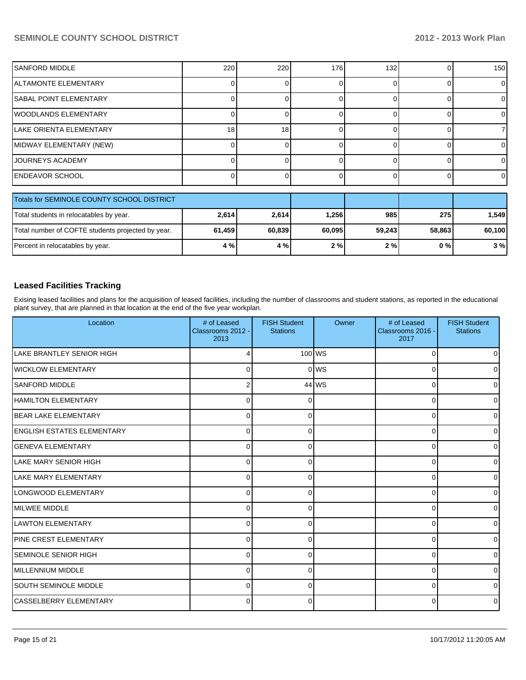| <b>SANFORD MIDDLE</b>          | 220 | 220 | 176 | 132 | 150 <sup>1</sup> |
|--------------------------------|-----|-----|-----|-----|------------------|
| ALTAMONTE ELEMENTARY           |     |     |     |     |                  |
| <b>ISABAL POINT ELEMENTARY</b> |     |     |     |     |                  |
| WOODLANDS ELEMENTARY           |     |     |     |     |                  |
| LAKE ORIENTA ELEMENTARY        | 18  | 18  |     |     |                  |
| MIDWAY ELEMENTARY (NEW)        |     |     |     |     |                  |
| <b>JOURNEYS ACADEMY</b>        |     |     |     |     |                  |
| <b>ENDEAVOR SCHOOL</b>         |     |     |     |     | ΟI               |

| Totals for SEMINOLE COUNTY SCHOOL DISTRICT        |        |        |        |        |        |        |
|---------------------------------------------------|--------|--------|--------|--------|--------|--------|
| Total students in relocatables by year.           | 2,614  | 2,614  | 1.256  | 985    | 275    | .549   |
| Total number of COFTE students projected by year. | 61,459 | 60.839 | 60.095 | 59.243 | 58.863 | 60,100 |
| Percent in relocatables by year.                  | 4 % l  | 4%     | 2%     | 2%     | 0 % I  | 3%     |

#### **Leased Facilities Tracking**

Exising leased facilities and plans for the acquisition of leased facilities, including the number of classrooms and student stations, as reported in the educational plant survey, that are planned in that location at the end of the five year workplan.

| Location                      | # of Leased<br>Classrooms 2012 -<br>2013 | <b>FISH Student</b><br><b>Stations</b> | Owner    | # of Leased<br>Classrooms 2016 -<br>2017 | <b>FISH Student</b><br><b>Stations</b> |
|-------------------------------|------------------------------------------|----------------------------------------|----------|------------------------------------------|----------------------------------------|
| LAKE BRANTLEY SENIOR HIGH     |                                          |                                        | $100$ WS | $\Omega$                                 | 0                                      |
| <b>WICKLOW ELEMENTARY</b>     | 0                                        |                                        | olws     | $\Omega$                                 | 0                                      |
| <b>SANFORD MIDDLE</b>         |                                          |                                        | $44$ WS  | $\Omega$                                 | 0                                      |
| <b>HAMILTON ELEMENTARY</b>    | U                                        |                                        |          | $\Omega$                                 | 0                                      |
| <b>BEAR LAKE ELEMENTARY</b>   | $\Omega$                                 |                                        |          | 0                                        | $\Omega$                               |
| ENGLISH ESTATES ELEMENTARY    | $\Omega$                                 | <sup>0</sup>                           |          | 0                                        | $\Omega$                               |
| <b>IGENEVA ELEMENTARY</b>     | $\Omega$                                 | $\Omega$                               |          | $\Omega$                                 | $\Omega$                               |
| <b>LAKE MARY SENIOR HIGH</b>  | 0                                        | ∩                                      |          | $\Omega$                                 | $\Omega$                               |
| LAKE MARY ELEMENTARY          | 0                                        | $\Omega$                               |          | 0                                        | $\Omega$                               |
| LONGWOOD ELEMENTARY           | $\Omega$                                 | $\Omega$                               |          | 0                                        | $\Omega$                               |
| <b>IMILWEE MIDDLE</b>         | $\Omega$                                 | <sup>0</sup>                           |          | $\Omega$                                 | 0                                      |
| <b>ILAWTON ELEMENTARY</b>     | $\Omega$                                 | ∩                                      |          | 0                                        | <sup>0</sup>                           |
| <b>IPINE CREST ELEMENTARY</b> | $\Omega$                                 | <sup>0</sup>                           |          | $\Omega$                                 | 0                                      |
| ISEMINOLE SENIOR HIGH         | $\Omega$                                 | <sup>0</sup>                           |          | $\Omega$                                 | 0                                      |
| <b>IMILLENNIUM MIDDLE</b>     | $\Omega$                                 | <sup>0</sup>                           |          | $\Omega$                                 | $\Omega$                               |
| <b>SOUTH SEMINOLE MIDDLE</b>  | $\Omega$                                 | ∩                                      |          | $\Omega$                                 | 0                                      |
| CASSELBERRY ELEMENTARY        | $\Omega$                                 | ∩                                      |          | 0                                        | $\Omega$                               |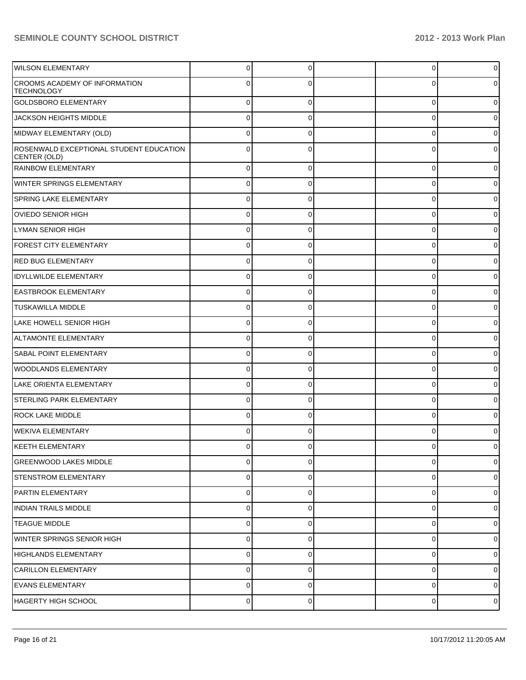| <b>WILSON ELEMENTARY</b>                                | $\Omega$       | $\Omega$    | 0        | $\overline{0}$ |
|---------------------------------------------------------|----------------|-------------|----------|----------------|
| CROOMS ACADEMY OF INFORMATION<br><b>TECHNOLOGY</b>      | 0              |             |          | $\overline{0}$ |
| <b>GOLDSBORO ELEMENTARY</b>                             | $\Omega$       | $\Omega$    | 0        | $\overline{0}$ |
| JACKSON HEIGHTS MIDDLE                                  | $\Omega$       | $\Omega$    | 0        | $\mathbf 0$    |
| MIDWAY ELEMENTARY (OLD)                                 | $\Omega$       | $\Omega$    | 0        | $\overline{0}$ |
| ROSENWALD EXCEPTIONAL STUDENT EDUCATION<br>CENTER (OLD) | $\Omega$       | $\Omega$    | C        | $\overline{0}$ |
| <b>RAINBOW ELEMENTARY</b>                               | $\overline{0}$ | $\Omega$    | 0        | $\mathbf 0$    |
| <b>WINTER SPRINGS ELEMENTARY</b>                        | 0              | $\Omega$    | 0        | $\overline{0}$ |
| SPRING LAKE ELEMENTARY                                  | 0              | $\Omega$    | 0        | $\overline{0}$ |
| OVIEDO SENIOR HIGH                                      | 0              | 0           | 0        | 0              |
| LYMAN SENIOR HIGH                                       | 0              | $\Omega$    | 0        | $\overline{0}$ |
| <b>FOREST CITY ELEMENTARY</b>                           | 0              | 0           | 0        | 0              |
| <b>RED BUG ELEMENTARY</b>                               | $\overline{0}$ | 0           | $\Omega$ | $\overline{0}$ |
| <b>IDYLLWILDE ELEMENTARY</b>                            | 0              | 0           | 0        | 0              |
| <b>EASTBROOK ELEMENTARY</b>                             | $\overline{0}$ | 0           | $\Omega$ | $\overline{0}$ |
| <b>TUSKAWILLA MIDDLE</b>                                | 0              | 0           | 0        | 0              |
| LAKE HOWELL SENIOR HIGH                                 | 0              | $\Omega$    | $\Omega$ | $\overline{0}$ |
| ALTAMONTE ELEMENTARY                                    | 0              | 0           | 0        | 0              |
| <b>SABAL POINT ELEMENTARY</b>                           | 0              | $\Omega$    | 0        | $\overline{0}$ |
| WOODLANDS ELEMENTARY                                    | 0              | 0           | 0        | 0              |
| LAKE ORIENTA ELEMENTARY                                 | 0              | $\Omega$    | 0        | $\overline{0}$ |
| STERLING PARK ELEMENTARY                                | $\Omega$       | 0           | 0        | 0              |
| <b>ROCK LAKE MIDDLE</b>                                 | $\Omega$       | 0           | C        | 0              |
| WEKIVA ELEMENTARY                                       | 0              | 0           |          | 0              |
| KEETH ELEMENTARY                                        | U              |             |          |                |
| <b>GREENWOOD LAKES MIDDLE</b>                           | $\overline{0}$ | $\Omega$    | 0        | $\overline{0}$ |
| STENSTROM ELEMENTARY                                    | $\overline{0}$ | $\Omega$    | 0        | $\overline{0}$ |
| PARTIN ELEMENTARY                                       | $\overline{0}$ | $\mathbf 0$ | 0        | $\overline{0}$ |
| INDIAN TRAILS MIDDLE                                    | $\overline{0}$ | 0           | 0        | $\overline{0}$ |
| <b>TEAGUE MIDDLE</b>                                    | $\overline{0}$ | $\mathbf 0$ | 0        | $\overline{0}$ |
| WINTER SPRINGS SENIOR HIGH                              | $\overline{0}$ | 0           | 0        | $\overline{0}$ |
| HIGHLANDS ELEMENTARY                                    | $\overline{0}$ | $\mathbf 0$ | 0        | $\overline{0}$ |
| CARILLON ELEMENTARY                                     | $\overline{0}$ | 0           | 0        | $\overline{0}$ |
| <b>EVANS ELEMENTARY</b>                                 | $\overline{0}$ | $\mathbf 0$ | 0        | $\overline{0}$ |
| HAGERTY HIGH SCHOOL                                     | $\overline{0}$ | 0           | 0        | $\overline{0}$ |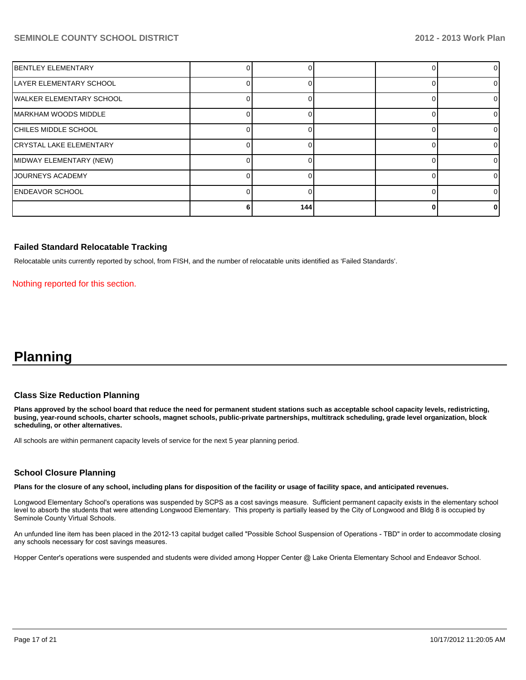| BENTLEY ELEMENTARY             |     |  |   |
|--------------------------------|-----|--|---|
| LAYER ELEMENTARY SCHOOL        |     |  | 0 |
| IWALKER ELEMENTARY SCHOOL      |     |  | 0 |
| MARKHAM WOODS MIDDLE           |     |  | 0 |
| CHILES MIDDLE SCHOOL           |     |  | 0 |
| <b>CRYSTAL LAKE ELEMENTARY</b> |     |  | 0 |
| MIDWAY ELEMENTARY (NEW)        |     |  | 0 |
| JOURNEYS ACADEMY               |     |  | 0 |
| <b>ENDEAVOR SCHOOL</b>         |     |  | 0 |
|                                | 144 |  | 0 |

#### **Failed Standard Relocatable Tracking**

Relocatable units currently reported by school, from FISH, and the number of relocatable units identified as 'Failed Standards'.

Nothing reported for this section.

## **Planning**

#### **Class Size Reduction Planning**

**Plans approved by the school board that reduce the need for permanent student stations such as acceptable school capacity levels, redistricting, busing, year-round schools, charter schools, magnet schools, public-private partnerships, multitrack scheduling, grade level organization, block scheduling, or other alternatives.**

All schools are within permanent capacity levels of service for the next 5 year planning period.

#### **School Closure Planning**

**Plans for the closure of any school, including plans for disposition of the facility or usage of facility space, and anticipated revenues.**

Longwood Elementary School's operations was suspended by SCPS as a cost savings measure. Sufficient permanent capacity exists in the elementary school level to absorb the students that were attending Longwood Elementary. This property is partially leased by the City of Longwood and Bldg 8 is occupied by Seminole County Virtual Schools.

An unfunded line item has been placed in the 2012-13 capital budget called "Possible School Suspension of Operations - TBD" in order to accommodate closing any schools necessary for cost savings measures.

Hopper Center's operations were suspended and students were divided among Hopper Center @ Lake Orienta Elementary School and Endeavor School.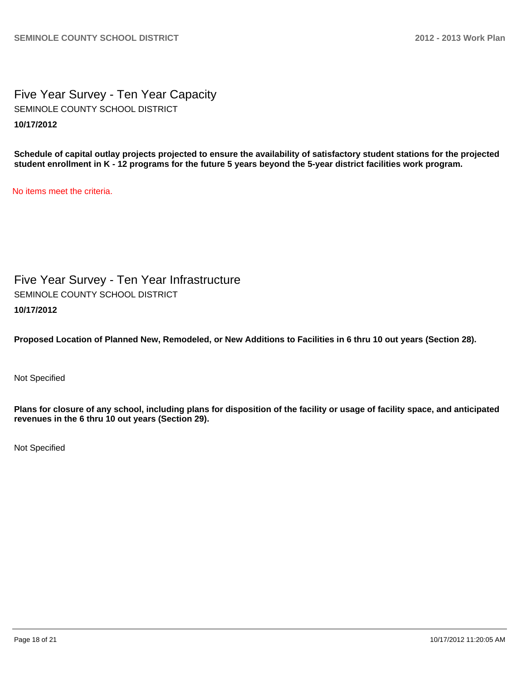Five Year Survey - Ten Year Capacity **10/17/2012** SEMINOLE COUNTY SCHOOL DISTRICT

**Schedule of capital outlay projects projected to ensure the availability of satisfactory student stations for the projected student enrollment in K - 12 programs for the future 5 years beyond the 5-year district facilities work program.**

No items meet the criteria.

Five Year Survey - Ten Year Infrastructure **10/17/2012** SEMINOLE COUNTY SCHOOL DISTRICT

**Proposed Location of Planned New, Remodeled, or New Additions to Facilities in 6 thru 10 out years (Section 28).**

Not Specified

**Plans for closure of any school, including plans for disposition of the facility or usage of facility space, and anticipated revenues in the 6 thru 10 out years (Section 29).**

Not Specified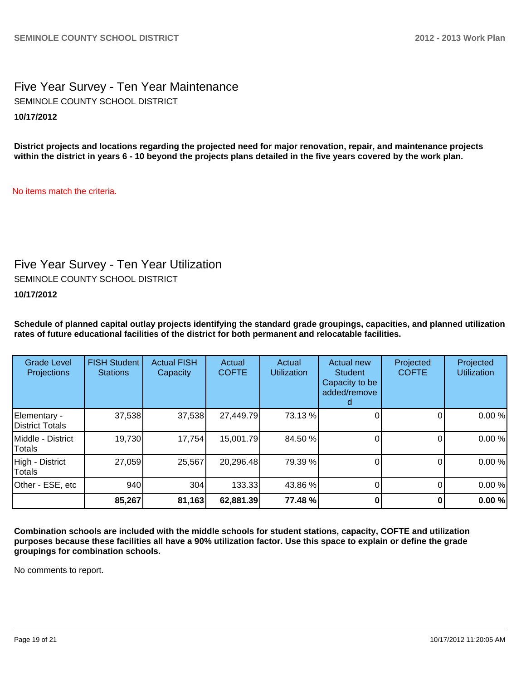Five Year Survey - Ten Year Maintenance **10/17/2012** SEMINOLE COUNTY SCHOOL DISTRICT

**District projects and locations regarding the projected need for major renovation, repair, and maintenance projects within the district in years 6 - 10 beyond the projects plans detailed in the five years covered by the work plan.**

No items match the criteria.

## Five Year Survey - Ten Year Utilization

SEMINOLE COUNTY SCHOOL DISTRICT

#### **10/17/2012**

**Schedule of planned capital outlay projects identifying the standard grade groupings, capacities, and planned utilization rates of future educational facilities of the district for both permanent and relocatable facilities.**

| <b>Grade Level</b><br>Projections | <b>FISH Student</b><br><b>Stations</b> | <b>Actual FISH</b><br>Capacity | Actual<br><b>COFTE</b> | Actual<br><b>Utilization</b> | Actual new<br><b>Student</b><br>Capacity to be<br>added/remove | Projected<br><b>COFTE</b> | Projected<br><b>Utilization</b> |
|-----------------------------------|----------------------------------------|--------------------------------|------------------------|------------------------------|----------------------------------------------------------------|---------------------------|---------------------------------|
| Elementary -<br>District Totals   | 37,538                                 | 37,538                         | 27,449.79              | 73.13 %                      |                                                                |                           | 0.00%                           |
| Middle - District<br>Totals       | 19,730                                 | 17,754                         | 15,001.79              | 84.50 %                      |                                                                |                           | 0.00%                           |
| High - District<br>Totals         | 27,059                                 | 25,567                         | 20,296.48              | 79.39 %                      |                                                                |                           | 0.00%                           |
| Other - ESE, etc                  | 940                                    | 304                            | 133.33                 | 43.86 %                      |                                                                |                           | 0.00%                           |
|                                   | 85,267                                 | 81,163                         | 62,881.39              | 77.48 %                      |                                                                |                           | 0.00%                           |

**Combination schools are included with the middle schools for student stations, capacity, COFTE and utilization purposes because these facilities all have a 90% utilization factor. Use this space to explain or define the grade groupings for combination schools.**

No comments to report.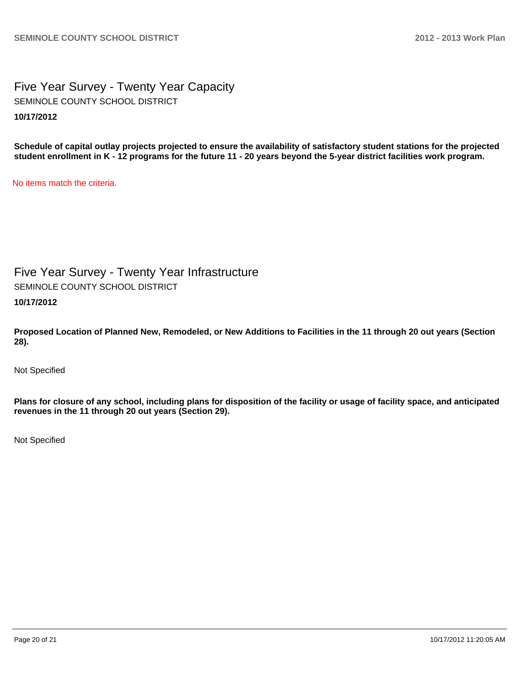Five Year Survey - Twenty Year Capacity **10/17/2012** SEMINOLE COUNTY SCHOOL DISTRICT

**Schedule of capital outlay projects projected to ensure the availability of satisfactory student stations for the projected student enrollment in K - 12 programs for the future 11 - 20 years beyond the 5-year district facilities work program.**

No items match the criteria.

Five Year Survey - Twenty Year Infrastructure SEMINOLE COUNTY SCHOOL DISTRICT

**10/17/2012**

**Proposed Location of Planned New, Remodeled, or New Additions to Facilities in the 11 through 20 out years (Section 28).**

Not Specified

**Plans for closure of any school, including plans for disposition of the facility or usage of facility space, and anticipated revenues in the 11 through 20 out years (Section 29).**

Not Specified